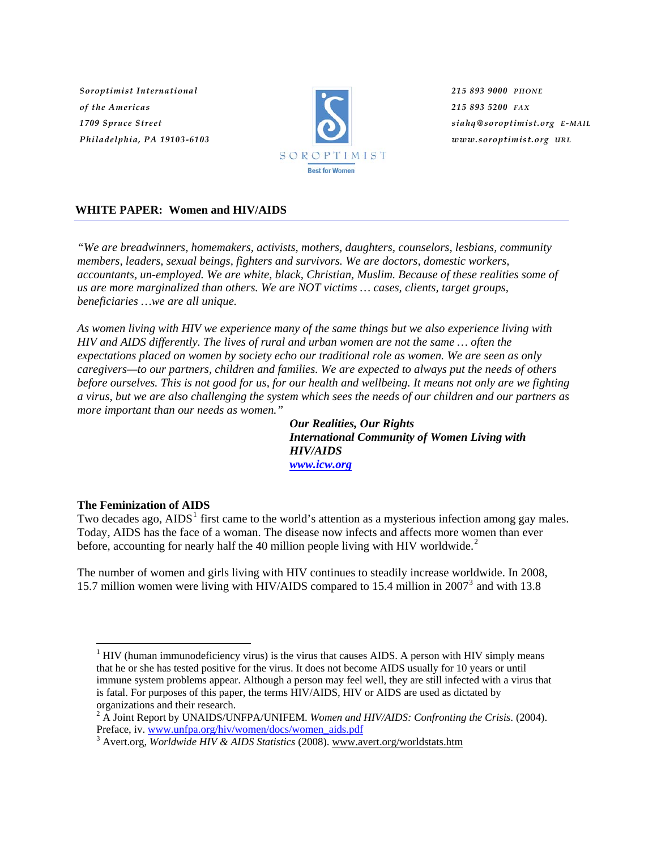*Soroptimist International of the Americas 1709 Spruce Street Philadelphia, PA 19103-6103*



*215 893 9000 PHONE 215 893 5200 FAX siahq@soroptimist.org E-MAIL www.soroptimist.org URL*

# **WHITE PAPER: Women and HIV/AIDS**

*"We are breadwinners, homemakers, activists, mothers, daughters, counselors, lesbians, community members, leaders, sexual beings, fighters and survivors. We are doctors, domestic workers, accountants, un-employed. We are white, black, Christian, Muslim. Because of these realities some of us are more marginalized than others. We are NOT victims … cases, clients, target groups, beneficiaries …we are all unique.* 

*As women living with HIV we experience many of the same things but we also experience living with HIV and AIDS differently. The lives of rural and urban women are not the same … often the expectations placed on women by society echo our traditional role as women. We are seen as only caregivers—to our partners, children and families. We are expected to always put the needs of others before ourselves. This is not good for us, for our health and wellbeing. It means not only are we fighting a virus, but we are also challenging the system which sees the needs of our children and our partners as more important than our needs as women."* 

*Our Realities, Our Rights International Community of Women Living with HIV/AIDS [www.icw.org](http://www.icw.org/)*

# **The Feminization of AIDS**

 $\overline{a}$ 

Two decades ago,  $AIDS<sup>1</sup>$  $AIDS<sup>1</sup>$  $AIDS<sup>1</sup>$  first came to the world's attention as a mysterious infection among gay males. Today, AIDS has the face of a woman. The disease now infects and affects more women than ever before, accounting for nearly half the 40 million people living with HIV worldwide. $2$ 

The number of women and girls living with HIV continues to steadily increase worldwide. In 2008, 15.7 million women were living with HIV/AIDS compared to 15.4 million in 2007<sup>[3](#page-0-2)</sup> and with 13.8

<span id="page-0-0"></span> $<sup>1</sup>$  HIV (human immunodeficiency virus) is the virus that causes AIDS. A person with HIV simply means</sup> that he or she has tested positive for the virus. It does not become AIDS usually for 10 years or until immune system problems appear. Although a person may feel well, they are still infected with a virus that is fatal. For purposes of this paper, the terms HIV/AIDS, HIV or AIDS are used as dictated by organizations and their research.

<span id="page-0-1"></span><sup>2</sup> A Joint Report by UNAIDS/UNFPA/UNIFEM. *Women and HIV/AIDS: Confronting the Crisis*. (2004). Preface, iv. [www.unfpa.org/hiv/women/docs/women\\_aids.pdf](http://www.unfpa.org/hiv/women/docs/women_aids.pdf)

<span id="page-0-2"></span>Avert.org, *Worldwide HIV & AIDS Statistics* (2008). [www.avert.org/worldstats.htm](http://www.avert.org/worldstats.htm)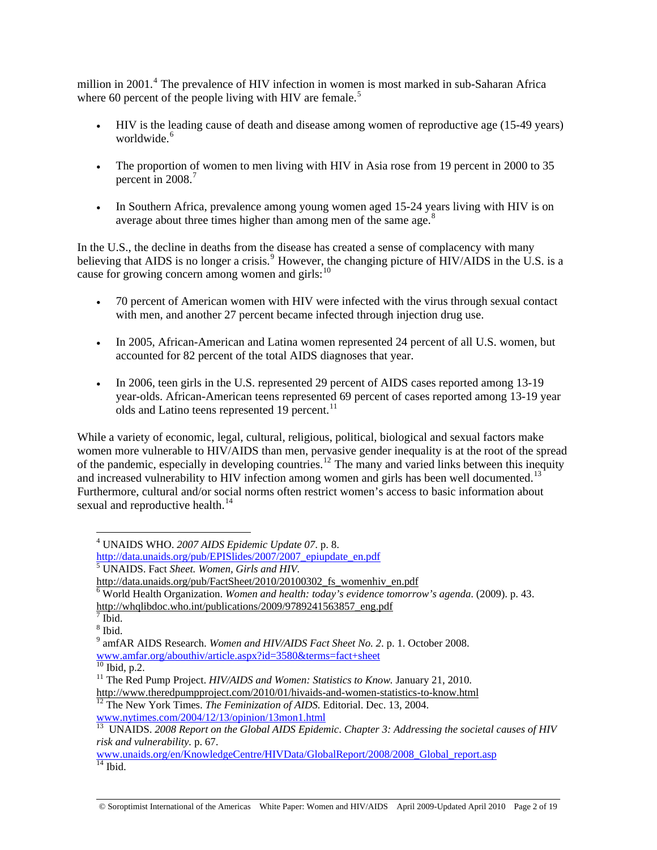million in 2001.<sup>[4](#page-1-0)</sup> The prevalence of HIV infection in women is most marked in sub-Saharan Africa where 60 percent of the people living with HIV are female.<sup>[5](#page-1-1)</sup>

- HIV is the leading cause of death and disease among women of reproductive age (15-49 years) worldwide.<sup>[6](#page-1-2)</sup>
- The proportion of women to men living with HIV in Asia rose from 19 percent in 2000 to 35 percent in 2008.<sup>[7](#page-1-3)</sup>
- In Southern Africa, prevalence among young women aged 15-24 years living with HIV is on average about three times higher than among men of the same age. $8<sup>8</sup>$  $8<sup>8</sup>$

In the U.S., the decline in deaths from the disease has created a sense of complacency with many believing that AIDS is no longer a crisis.<sup>[9](#page-1-5)</sup> However, the changing picture of  $HIV/AIDS$  in the U.S. is a cause for growing concern among women and girls: $10$ 

- 70 percent of American women with HIV were infected with the virus through sexual contact with men, and another 27 percent became infected through injection drug use.
- In 2005, African-American and Latina women represented 24 percent of all U.S. women, but accounted for 82 percent of the total AIDS diagnoses that year.
- In 2006, teen girls in the U.S. represented 29 percent of AIDS cases reported among 13-19 year-olds. African-American teens represented 69 percent of cases reported among 13-19 year olds and Latino teens represented 19 percent.<sup>[11](#page-1-7)</sup>

While a variety of economic, legal, cultural, religious, political, biological and sexual factors make women more vulnerable to HIV/AIDS than men, pervasive gender inequality is at the root of the spread of the pandemic, especially in developing countries.[12](#page-1-8) The many and varied links between this inequity and increased vulnerability to HIV infection among women and girls has been well documented.<sup>[13](#page-1-9)</sup> Furthermore, cultural and/or social norms often restrict women's access to basic information about sexual and reproductive health.<sup>[14](#page-1-10)</sup>

 $\overline{a}$ 

<span id="page-1-8"></span>[www.nytimes.com/2004/12/13/opinion/13mon1.html](http://www.nytimes.com/2004/12/13/opinion/13mon1.html)

<sup>4</sup> UNAIDS WHO. *2007 AIDS Epidemic Update 07*. p. 8.

<span id="page-1-0"></span>http://data.unaids.org/pub/EPISlides/2007/2007\_epiupdate\_en.pdf

UNAIDS. Fact *Sheet. Women, Girls and HIV.*

<span id="page-1-1"></span>http://data.unaids.org/pub/FactSheet/2010/20100302 fs womenhiv en.pdf

<span id="page-1-2"></span>World Health Organization. *Women and health: today's evidence tomorrow's agenda*. (2009). p. 43.

<span id="page-1-3"></span>[http://whqlibdoc.who.int/publications/2009/9789241563857\\_eng.pdf](http://whqlibdoc.who.int/publications/2009/9789241563857_eng.pdf)<br><sup>7</sup> Ibid.

<span id="page-1-4"></span><sup>8</sup> Ibid.

<sup>9</sup> amfAR AIDS Research. *Women and HIV/AIDS Fact Sheet No. 2*. p. 1. October 2008.

<span id="page-1-5"></span>[www.amfar.org/abouthiv/article.aspx?id=3580&terms=fact+sheet](http://www.amfar.org/abouthiv/article.aspx?id=3580&terms=fact+sheet) <sup>10</sup> Ibid, p.2.

<span id="page-1-7"></span><span id="page-1-6"></span><sup>&</sup>lt;sup>11</sup> The Red Pump Project. *HIV/AIDS and Women: Statistics to Know*. January 21, 2010.

<http://www.theredpumpproject.com/2010/01/hivaids-and-women-statistics-to-know.html> 12 The New York Times. *The Feminization of AIDS.* Editorial. Dec. 13, 2004.

<span id="page-1-9"></span><sup>13</sup> UNAIDS. *2008 Report on the Global AIDS Epidemic*. *Chapter 3: Addressing the societal causes of HIV risk and vulnerability.* p. 67.

<span id="page-1-10"></span>[www.unaids.org/en/KnowledgeCentre/HIVData/GlobalReport/2008/2008\\_Global\\_report.asp](http://www.unaids.org/en/KnowledgeCentre/HIVData/GlobalReport/2008/2008_Global_report.asp)  $14$  Ibid.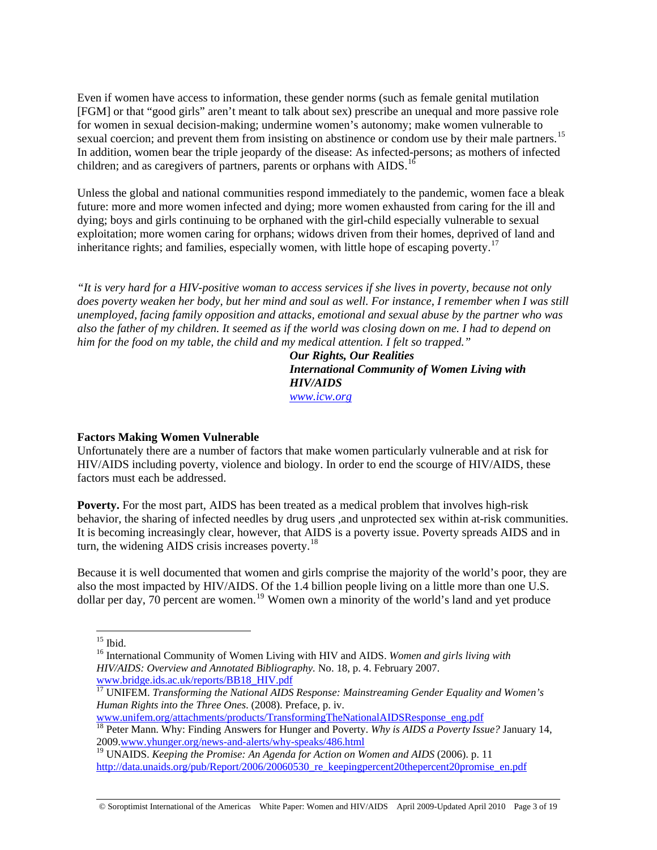Even if women have access to information, these gender norms (such as female genital mutilation [FGM] or that "good girls" aren't meant to talk about sex) prescribe an unequal and more passive role for women in sexual decision-making; undermine women's autonomy; make women vulnerable to sexual coercion; and prevent them from insisting on abstinence or condom use by their male partners.<sup>[15](#page-2-0)</sup> In addition, women bear the triple jeopardy of the disease: As infected-persons; as mothers of infected children; and as caregivers of partners, parents or orphans with AIDS.<sup>[16](#page-2-1)</sup>

Unless the global and national communities respond immediately to the pandemic, women face a bleak future: more and more women infected and dying; more women exhausted from caring for the ill and dying; boys and girls continuing to be orphaned with the girl-child especially vulnerable to sexual exploitation; more women caring for orphans; widows driven from their homes, deprived of land and inheritance rights; and families, especially women, with little hope of escaping poverty.<sup>[17](#page-2-2)</sup>

*"It is very hard for a HIV-positive woman to access services if she lives in poverty, because not only does poverty weaken her body, but her mind and soul as well. For instance, I remember when I was still unemployed, facing family opposition and attacks, emotional and sexual abuse by the partner who was also the father of my children. It seemed as if the world was closing down on me. I had to depend on him for the food on my table, the child and my medical attention. I felt so trapped."* 

*Our Rights, Our Realities International Community of Women Living with HIV/AIDS [www.icw.org](http://www.icw.org/)*

# **Factors Making Women Vulnerable**

Unfortunately there are a number of factors that make women particularly vulnerable and at risk for HIV/AIDS including poverty, violence and biology. In order to end the scourge of HIV/AIDS, these factors must each be addressed.

**Poverty.** For the most part, AIDS has been treated as a medical problem that involves high-risk behavior, the sharing of infected needles by drug users ,and unprotected sex within at-risk communities. It is becoming increasingly clear, however, that AIDS is a poverty issue. Poverty spreads AIDS and in turn, the widening AIDS crisis increases poverty. $^{18}$  $^{18}$  $^{18}$ 

Because it is well documented that women and girls comprise the majority of the world's poor, they are also the most impacted by HIV/AIDS. Of the 1.4 billion people living on a little more than one U.S. dollar per day,  $70$  percent are women.<sup>[19](#page-2-4)</sup> Women own a minority of the world's land and yet produce

 $\overline{a}$ 

[www.unifem.org/attachments/products/TransformingTheNationalAIDSResponse\\_eng.pdf](http://www.unifem.org/attachments/products/TransformingTheNationalAIDSResponse_eng.pdf)

© Soroptimist International of the Americas White Paper: Women and HIV/AIDS April 2009-Updated April 2010 Page 3 of 19

 $15$  Ibid.

<span id="page-2-1"></span><span id="page-2-0"></span><sup>16</sup> International Community of Women Living with HIV and AIDS. *Women and girls living with HIV/AIDS: Overview and Annotated Bibliography.* No. 18, p. 4. February 2007.

<span id="page-2-2"></span>[www.bridge.ids.ac.uk/reports/BB18\\_HIV.pdf](http://www.bridge.ids.ac.uk/reports/BB18_HIV.pdf) [17](http://www.bridge.ids.ac.uk/reports/BB18_HIV.pdf) UNIFEM. *Transforming the National AIDS Response: Mainstreaming Gender Equality and Women's Human Rights into the Three Ones*. (2008). Preface, p. iv.

<span id="page-2-3"></span><sup>18</sup> Peter Mann. Why: Finding Answers for Hunger and Poverty. *Why is AIDS a Poverty Issue?* January 14, 2009[.www.yhunger.org/news-and-alerts/why-speaks/486.html](http://www.yhunger.org/news-and-alerts/why-speaks/486.html)

<span id="page-2-4"></span><sup>19</sup> UNAIDS. *Keeping the Promise: An Agenda for Action on Women and AIDS* (2006). p. 11 [http://data.unaids.org/pub/Report/2006/20060530\\_re\\_keepingpercent20thepercent20promise\\_en.pdf](http://data.unaids.org/pub/Report/2006/20060530_re_keeping%20the%20promise_en.pdf)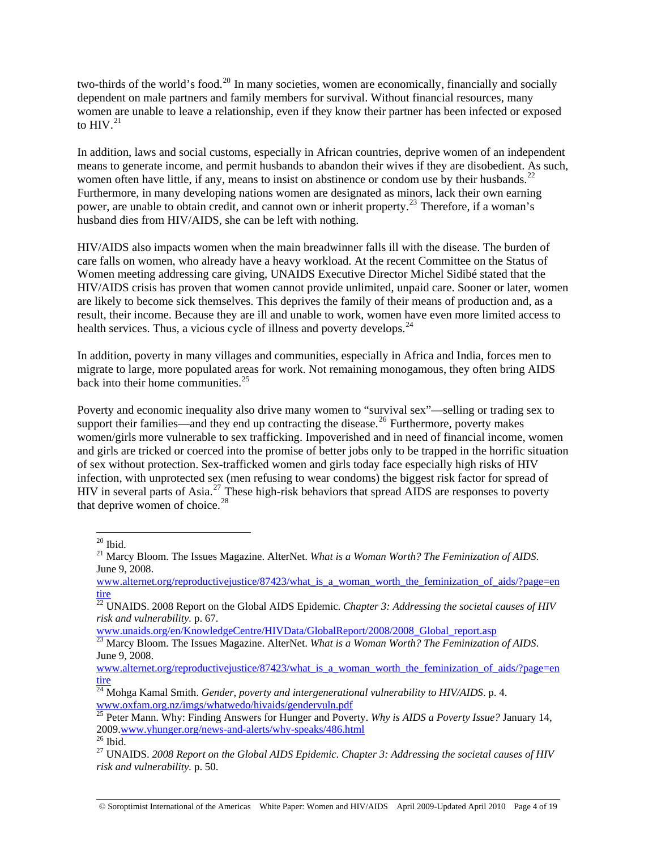two-thirds of the world's food.<sup>[20](#page-3-0)</sup> In many societies, women are economically, financially and socially dependent on male partners and family members for survival. Without financial resources, many women are unable to leave a relationship, even if they know their partner has been infected or exposed to  $HIV.<sup>21</sup>$  $HIV.<sup>21</sup>$  $HIV.<sup>21</sup>$ 

In addition, laws and social customs, especially in African countries, deprive women of an independent means to generate income, and permit husbands to abandon their wives if they are disobedient. As such, women often have little, if any, means to insist on abstinence or condom use by their husbands.<sup>[22](#page-3-2)</sup> Furthermore, in many developing nations women are designated as minors, lack their own earning power, are unable to obtain credit, and cannot own or inherit property.<sup>[23](#page-3-3)</sup> Therefore, if a woman's husband dies from HIV/AIDS, she can be left with nothing.

HIV/AIDS also impacts women when the main breadwinner falls ill with the disease. The burden of care falls on women, who already have a heavy workload. At the recent Committee on the Status of Women meeting addressing care giving, UNAIDS Executive Director Michel Sidibé stated that the HIV/AIDS crisis has proven that women cannot provide unlimited, unpaid care. Sooner or later, women are likely to become sick themselves. This deprives the family of their means of production and, as a result, their income. Because they are ill and unable to work, women have even more limited access to health services. Thus, a vicious cycle of illness and poverty develops.<sup>[24](#page-3-4)</sup>

In addition, poverty in many villages and communities, especially in Africa and India, forces men to migrate to large, more populated areas for work. Not remaining monogamous, they often bring AIDS back into their home communities. $25$ 

Poverty and economic inequality also drive many women to "survival sex"—selling or trading sex to support their families—and they end up contracting the disease.<sup>[26](#page-3-6)</sup> Furthermore, poverty makes women/girls more vulnerable to sex trafficking. Impoverished and in need of financial income, women and girls are tricked or coerced into the promise of better jobs only to be trapped in the horrific situation of sex without protection. Sex-trafficked women and girls today face especially high risks of HIV infection, with unprotected sex (men refusing to wear condoms) the biggest risk factor for spread of HIV in several parts of Asia.<sup>[27](#page-3-7)</sup> These high-risk behaviors that spread AIDS are responses to poverty that deprive women of choice. $^{28}$ 

 $\overline{a}$ 

[www.unaids.org/en/KnowledgeCentre/HIVData/GlobalReport/2008/2008\\_Global\\_report.asp](http://www.unaids.org/en/KnowledgeCentre/HIVData/GlobalReport/2008/2008_Global_report.asp)

 $20$  Ibid.

<span id="page-3-1"></span><span id="page-3-0"></span><sup>21</sup> Marcy Bloom. The Issues Magazine. AlterNet. *What is a Woman Worth? The Feminization of AIDS*. June 9, 2008.

www.alternet.org/reproductivejustice/87423/what is a woman worth the feminization of aids/?page=en [tire](http://www.alternet.org/reproductivejustice/87423/what_is_a_woman_worth_the_feminization_of_aids/?page=entire)

<span id="page-3-2"></span> $\frac{22}{22}$  UNAIDS. 2008 Report on the Global AIDS Epidemic. *Chapter 3: Addressing the societal causes of HIV risk and vulnerability.* p. 67.

<span id="page-3-3"></span><sup>&</sup>lt;sup>23</sup> Marcy Bloom. The Issues Magazine. AlterNet. *What is a Woman Worth? The Feminization of AIDS*. June 9, 2008.

www.alternet.org/reproductivejustice/87423/what is a woman worth the feminization of aids/?page=en [tire](http://www.alternet.org/reproductivejustice/87423/what_is_a_woman_worth_the_feminization_of_aids/?page=entire)

<span id="page-3-4"></span><sup>24</sup> Mohga Kamal Smith. *Gender, poverty and intergenerational vulnerability to HIV/AIDS*. p. 4. [www.oxfam.org.nz/imgs/whatwedo/hivaids/gendervuln.pdf](http://www.oxfam.org.nz/imgs/whatwedo/hivaids/gendervuln.pdf)

<span id="page-3-5"></span><sup>&</sup>lt;sup>25</sup> Peter Mann. Why: Finding Answers for Hunger and Poverty. *Why is AIDS a Poverty Issue?* January 14, 2009[.www.yhunger.org/news-and-alerts/why-speaks/486.html](http://www.yhunger.org/news-and-alerts/why-speaks/486.html) <sup>26</sup> Ibid.

<span id="page-3-7"></span><span id="page-3-6"></span><sup>27</sup> UNAIDS. *2008 Report on the Global AIDS Epidemic*. *Chapter 3: Addressing the societal causes of HIV risk and vulnerability.* p. 50.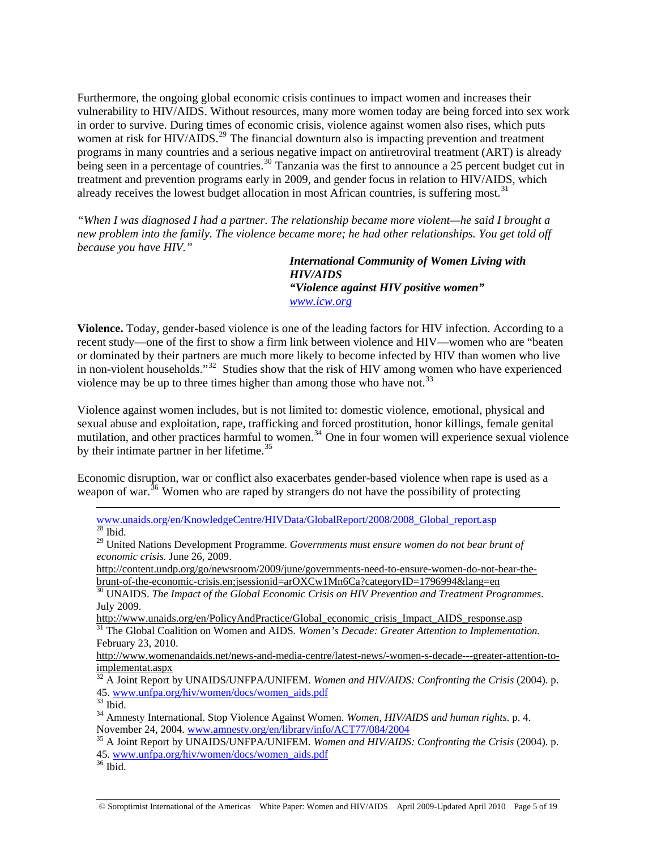Furthermore, the ongoing global economic crisis continues to impact women and increases their vulnerability to HIV/AIDS. Without resources, many more women today are being forced into sex work in order to survive. During times of economic crisis, violence against women also rises, which puts women at risk for HIV/AIDS.<sup>[29](#page-4-0)</sup> The financial downturn also is impacting prevention and treatment programs in many countries and a serious negative impact on antiretroviral treatment (ART) is already being seen in a percentage of countries.<sup>[30](#page-4-1)</sup> Tanzania was the first to announce a 25 percent budget cut in treatment and prevention programs early in 2009, and gender focus in relation to HIV/AIDS, which already receives the lowest budget allocation in most African countries, is suffering most.<sup>[31](#page-4-2)</sup>

*"When I was diagnosed I had a partner. The relationship became more violent—he said I brought a new problem into the family. The violence became more; he had other relationships. You get told off because you have HIV."* 

> *International Community of Women Living with HIV/AIDS "Violence against HIV positive women" [www.icw.org](http://www.icw.org/)*

**Violence.** Today, gender-based violence is one of the leading factors for HIV infection. According to a recent study—one of the first to show a firm link between violence and HIV—women who are "beaten or dominated by their partners are much more likely to become infected by HIV than women who live in non-violent households."<sup>[32](#page-4-3)</sup> Studies show that the risk of HIV among women who have experienced violence may be up to three times higher than among those who have not.<sup>[33](#page-4-4)</sup>

Violence against women includes, but is not limited to: domestic violence, emotional, physical and sexual abuse and exploitation, rape, trafficking and forced prostitution, honor killings, female genital mutilation, and other practices harmful to women.<sup>[34](#page-4-5)</sup> One in four women will experience sexual violence by their intimate partner in her lifetime.<sup>[35](#page-4-6)</sup>

Economic disruption, war or conflict also exacerbates gender-based violence when rape is used as a weapon of war.<sup>[36](#page-4-7)</sup> Women who are raped by strangers do not have the possibility of protecting

 [www.unaids.org/en/KnowledgeCentre/HIVData/GlobalReport/2008/2008\\_Global\\_report.asp](http://www.unaids.org/en/KnowledgeCentre/HIVData/GlobalReport/2008/2008_Global_report.asp)  $28$  Ibid.

[http://content.undp.org/go/newsroom/2009/june/governments-need-to-ensure-women-do-not-bear-the](http://content.undp.org/go/newsroom/2009/june/governments-need-to-ensure-women-do-not-bear-the-brunt-of-the-economic-crisis.en;jsessionid=arOXCw1Mn6Ca?categoryID=1796994&lang=en)[brunt-of-the-economic-crisis.en;jsessionid=arOXCw1Mn6Ca?categoryID=1796994&lang=en](http://content.undp.org/go/newsroom/2009/june/governments-need-to-ensure-women-do-not-bear-the-brunt-of-the-economic-crisis.en;jsessionid=arOXCw1Mn6Ca?categoryID=1796994&lang=en)

<span id="page-4-1"></span>30 UNAIDS. *The Impact of the Global Economic Crisis on HIV Prevention and Treatment Programmes.* July 2009.

[http://www.unaids.org/en/PolicyAndPractice/Global\\_economic\\_crisis\\_Impact\\_AIDS\\_response.asp](http://www.unaids.org/en/PolicyAndPractice/Global_economic_crisis_Impact_AIDS_response.asp) <sup>31</sup> The Global Coalition on Women and AIDS. Women's Decade: Greater Attention to Implementation.

<span id="page-4-2"></span>February 23, 2010.

[http://www.womenandaids.net/news-and-media-centre/latest-news/-women-s-decade---greater-attention-to](http://www.womenandaids.net/news-and-media-centre/latest-news/-women-s-decade---greater-attention-to-implementat.aspx)[implementat.aspx](http://www.womenandaids.net/news-and-media-centre/latest-news/-women-s-decade---greater-attention-to-implementat.aspx)

<span id="page-4-3"></span>32 A Joint Report by UNAIDS/UNFPA/UNIFEM. *Women and HIV/AIDS: Confronting the Crisis* (2004). p. 45. [www.unfpa.org/hiv/women/docs/women\\_aids.pdf](http://www.unfpa.org/hiv/women/docs/women_aids.pdf)<br><sup>33</sup> Ibid.

<span id="page-4-4"></span>

<span id="page-4-5"></span><sup>34</sup> Amnesty International. Stop Violence Against Women. *Women, HIV/AIDS and human rights.* p. 4.<br>November 24, 2004. www.amnesty.org/en/library/info/ACT77/084/2004

<span id="page-4-6"></span><sup>35</sup> A Joint Report by UNAIDS/UNFPA/UNIFEM. *Women and HIV/AIDS: Confronting the Crisis* (2004). p. 45. [www.unfpa.org/hiv/women/docs/women\\_aids.pdf](http://www.unfpa.org/hiv/women/docs/women_aids.pdf) 36 Ibid.

<span id="page-4-7"></span>

<span id="page-4-0"></span><sup>29</sup> United Nations Development Programme. *Governments must ensure women do not bear brunt of economic crisis.* June 26, 2009.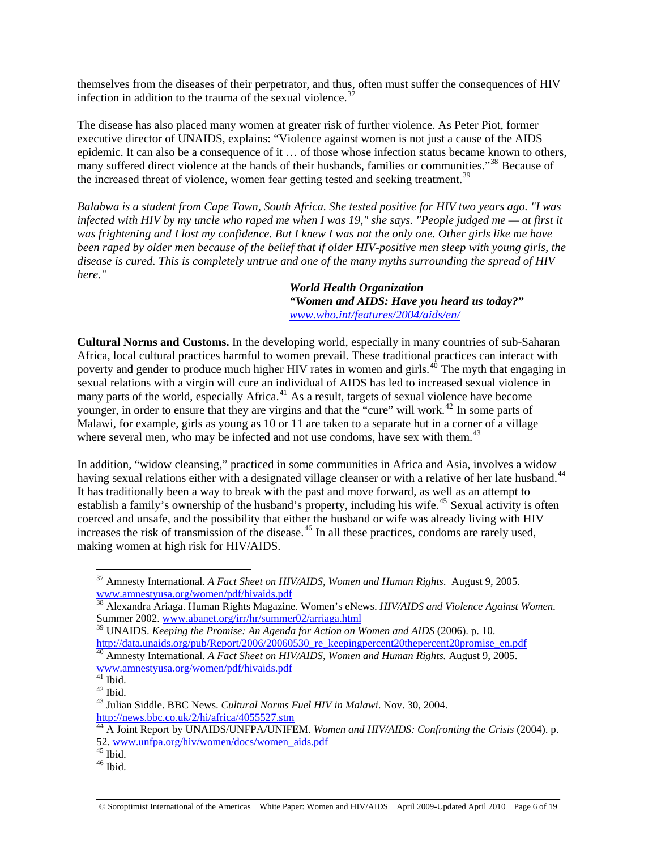themselves from the diseases of their perpetrator, and thus, often must suffer the consequences of HIV infection in addition to the trauma of the sexual violence.<sup>[37](#page-5-0)</sup>

The disease has also placed many women at greater risk of further violence. As Peter Piot, former executive director of UNAIDS, explains: "Violence against women is not just a cause of the AIDS epidemic. It can also be a consequence of it … of those whose infection status became known to others, many suffered direct violence at the hands of their husbands, families or communities."<sup>[38](#page-5-1)</sup> Because of the increased threat of violence, women fear getting tested and seeking treatment.<sup>[39](#page-5-2)</sup>

*Balabwa is a student from Cape Town, South Africa. She tested positive for HIV two years ago. "I was infected with HIV by my uncle who raped me when I was 19," she says. "People judged me — at first it was frightening and I lost my confidence. But I knew I was not the only one. Other girls like me have been raped by older men because of the belief that if older HIV-positive men sleep with young girls, the disease is cured. This is completely untrue and one of the many myths surrounding the spread of HIV here."* 

> *World Health Organization "Women and AIDS: Have you heard us today?***"**  *[www.who.int/features/2004/aids/en/](http://www.who.int/features/2004/aids/en/)*

**Cultural Norms and Customs.** In the developing world, especially in many countries of sub-Saharan Africa, local cultural practices harmful to women prevail. These traditional practices can interact with poverty and gender to produce much higher HIV rates in women and girls.<sup>[40](#page-5-3)</sup> The myth that engaging in sexual relations with a virgin will cure an individual of AIDS has led to increased sexual violence in many parts of the world, especially Africa.<sup>[41](#page-5-4)</sup> As a result, targets of sexual violence have become younger, in order to ensure that they are virgins and that the "cure" will work.<sup>[42](#page-5-5)</sup> In some parts of Malawi, for example, girls as young as 10 or 11 are taken to a separate hut in a corner of a village where several men, who may be infected and not use condoms, have sex with them.<sup>[43](#page-5-6)</sup>

In addition, "widow cleansing," practiced in some communities in Africa and Asia, involves a widow having sexual relations either with a designated village cleanser or with a relative of her late husband.<sup>[44](#page-5-7)</sup> It has traditionally been a way to break with the past and move forward, as well as an attempt to establish a family's ownership of the husband's property, including his wife.<sup>[45](#page-5-8)</sup> Sexual activity is often coerced and unsafe, and the possibility that either the husband or wife was already living with HIV increases the risk of transmission of the disease.<sup>[46](#page-5-9)</sup> In all these practices, condoms are rarely used, making women at high risk for HIV/AIDS.

<span id="page-5-0"></span><sup>37</sup> Amnesty International. *A Fact Sheet on HIV/AIDS, Women and Human Rights*. August 9, 2005. [www.amnestyusa.org/women/pdf/hivaids.pdf](http://www.amnestyusa.org/women/pdf/hivaids.pdf)

<span id="page-5-1"></span><sup>38</sup> Alexandra Ariaga. Human Rights Magazine. Women's eNews. *HIV/AIDS and Violence Against Women.*  Summer 2002. [www.abanet.org/irr/hr/summer02/arriaga.html](http://www.abanet.org/irr/hr/summer02/arriaga.html)

<span id="page-5-2"></span><sup>39</sup> UNAIDS. *Keeping the Promise: An Agenda for Action on Women and AIDS* (2006). p. 10. [http://data.unaids.org/pub/Report/2006/20060530\\_re\\_keepingpercent20thepercent20promise\\_en.pdf](http://data.unaids.org/pub/Report/2006/20060530_re_keeping%20the%20promise_en.pdf) 40 Amnesty International. *A Fact Sheet on HIV/AIDS, Women and Human Rights.* August 9, 2005.

<span id="page-5-3"></span>[www.amnestyusa.org/women/pdf/hivaids.pdf](http://www.amnestyusa.org/women/pdf/hivaids.pdf)

<span id="page-5-4"></span> $41$  Ibid.

<span id="page-5-5"></span> $42$  Ibid.

<span id="page-5-6"></span><sup>43</sup> Julian Siddle. BBC News. *Cultural Norms Fuel HIV in Malawi*. Nov. 30, 2004. <http://news.bbc.co.uk/2/hi/africa/4055527.stm>

<span id="page-5-7"></span><sup>44</sup> A Joint Report by UNAIDS/UNFPA/UNIFEM. *Women and HIV/AIDS: Confronting the Crisis* (2004). p. 52. [www.unfpa.org/hiv/women/docs/women\\_aids.pdf](http://www.unfpa.org/hiv/women/docs/women_aids.pdf) 45 Ibid.

<span id="page-5-8"></span>

<span id="page-5-9"></span> $^{46}$  Ibid.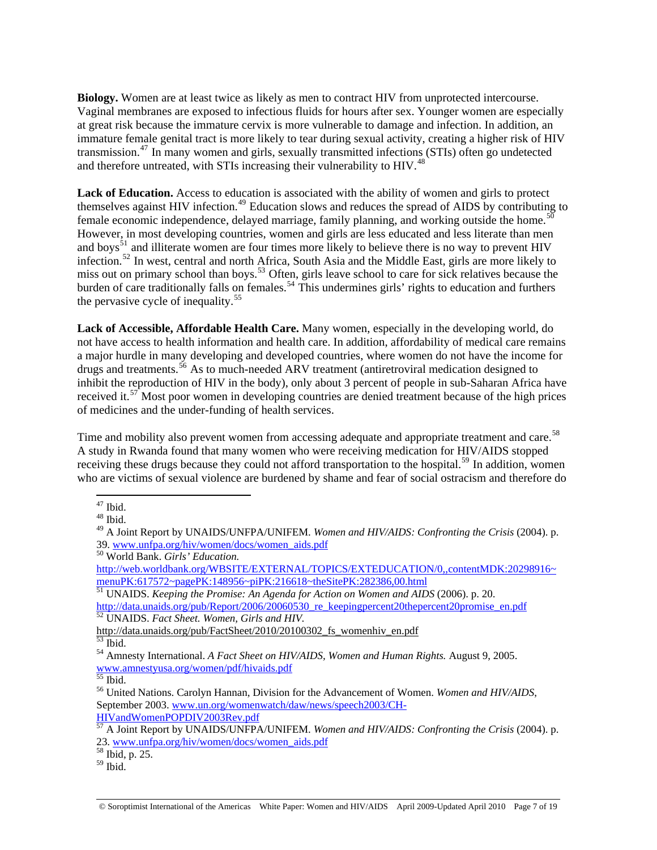**Biology.** Women are at least twice as likely as men to contract HIV from unprotected intercourse. Vaginal membranes are exposed to infectious fluids for hours after sex. Younger women are especially at great risk because the immature cervix is more vulnerable to damage and infection. In addition, an immature female genital tract is more likely to tear during sexual activity, creating a higher risk of HIV transmission.[47](#page-6-0) In many women and girls, sexually transmitted infections (STIs) often go undetected and therefore untreated, with STIs increasing their vulnerability to HIV.<sup>[48](#page-6-1)</sup>

Lack of Education. Access to education is associated with the ability of women and girls to protect themselves against HIV infection.<sup>[49](#page-6-2)</sup> Education slows and reduces the spread of AIDS by contributing to female economic independence, delayed marriage, family planning, and working outside the home.<sup>[50](#page-6-3)</sup> However, in most developing countries, women and girls are less educated and less literate than men and boys<sup>[51](#page-6-4)</sup> and illiterate women are four times more likely to believe there is no way to prevent HIV infection.[52](#page-6-5) In west, central and north Africa, South Asia and the Middle East, girls are more likely to miss out on primary school than boys.<sup>[53](#page-6-6)</sup> Often, girls leave school to care for sick relatives because the burden of care traditionally falls on females.<sup>[54](#page-6-7)</sup> This undermines girls' rights to education and furthers the pervasive cycle of inequality.<sup>[55](#page-6-8)</sup>

**Lack of Accessible, Affordable Health Care.** Many women, especially in the developing world, do not have access to health information and health care. In addition, affordability of medical care remains a major hurdle in many developing and developed countries, where women do not have the income for drugs and treatments.[56](#page-6-9) As to much-needed ARV treatment (antiretroviral medication designed to inhibit the reproduction of HIV in the body), only about 3 percent of people in sub-Saharan Africa have received it.<sup>[57](#page-6-10)</sup> Most poor women in developing countries are denied treatment because of the high prices of medicines and the under-funding of health services.

Time and mobility also prevent women from accessing adequate and appropriate treatment and care.<sup>[58](#page-6-11)</sup> A study in Rwanda found that many women who were receiving medication for HIV/AIDS stopped receiving these drugs because they could not afford transportation to the hospital.<sup>[59](#page-6-12)</sup> In addition, women who are victims of sexual violence are burdened by shame and fear of social ostracism and therefore do

 $\overline{a}$  $47$  Ibid.

<span id="page-6-1"></span><span id="page-6-0"></span><sup>48</sup> Ibid.

<span id="page-6-2"></span><sup>49</sup> A Joint Report by UNAIDS/UNFPA/UNIFEM. *Women and HIV/AIDS: Confronting the Crisis* (2004). p. 39. [www.unfpa.org/hiv/women/docs/women\\_aids.pdf](http://www.unfpa.org/hiv/women/docs/women_aids.pdf) 50 World Bank. *Girls' Education.*

<span id="page-6-3"></span>[http://web.worldbank.org/WBSITE/EXTERNAL/TOPICS/EXTEDUCATION/0,,contentMDK:20298916~](http://web.worldbank.org/WBSITE/EXTERNAL/TOPICS/EXTEDUCATION/0,,contentMDK:20298916%7EmenuPK:617572%7EpagePK:148956%7EpiPK:216618%7EtheSitePK:282386,00.html) [menuPK:617572~pagePK:148956~piPK:216618~theSitePK:282386,00.html](http://web.worldbank.org/WBSITE/EXTERNAL/TOPICS/EXTEDUCATION/0,,contentMDK:20298916%7EmenuPK:617572%7EpagePK:148956%7EpiPK:216618%7EtheSitePK:282386,00.html)

<span id="page-6-4"></span><sup>51</sup> UNAIDS. *Keeping the Promise: An Agenda for Action on Women and AIDS* (2006). p. 20. [http://data.unaids.org/pub/Report/2006/20060530\\_re\\_keepingpercent20thepercent20promise\\_en.pdf](http://data.unaids.org/pub/Report/2006/20060530_re_keeping%20the%20promise_en.pdf) 52 UNAIDS. *Fact Sheet. Women, Girls and HIV.*

<span id="page-6-5"></span>[http://data.unaids.org/pub/FactSheet/2010/20100302\\_fs\\_womenhiv\\_en.pdf](http://data.unaids.org/pub/FactSheet/2010/20100302_fs_womenhiv_en.pdf) 53 Ibid.

<span id="page-6-7"></span><span id="page-6-6"></span><sup>54</sup> Amnesty International. *A Fact Sheet on HIV/AIDS, Women and Human Rights.* August 9, 2005. [www.amnestyusa.org/women/pdf/hivaids.pdf](http://www.amnestyusa.org/women/pdf/hivaids.pdf)

<span id="page-6-8"></span> $\overline{55}$  Ibid.

<span id="page-6-9"></span><sup>56</sup> United Nations. Carolyn Hannan, Division for the Advancement of Women. *Women and HIV/AIDS*, September 2003. [www.un.org/womenwatch/daw/news/speech2003/CH-](http://www.un.org/womenwatch/daw/news/speech2003/CH-HIVandWomenPOPDIV2003Rev.pdf)[HIVandWomenPOPDIV2003Rev.pdf](http://www.un.org/womenwatch/daw/news/speech2003/CH-HIVandWomenPOPDIV2003Rev.pdf)

<span id="page-6-10"></span><sup>57</sup> A Joint Report by UNAIDS/UNFPA/UNIFEM. *Women and HIV/AIDS: Confronting the Crisis* (2004). p. 23. [www.unfpa.org/hiv/women/docs/women\\_aids.pdf](http://www.unfpa.org/hiv/women/docs/women_aids.pdf) 58 Ibid, p. 25.

<span id="page-6-11"></span>

<span id="page-6-12"></span> $^{59}$  Ibid.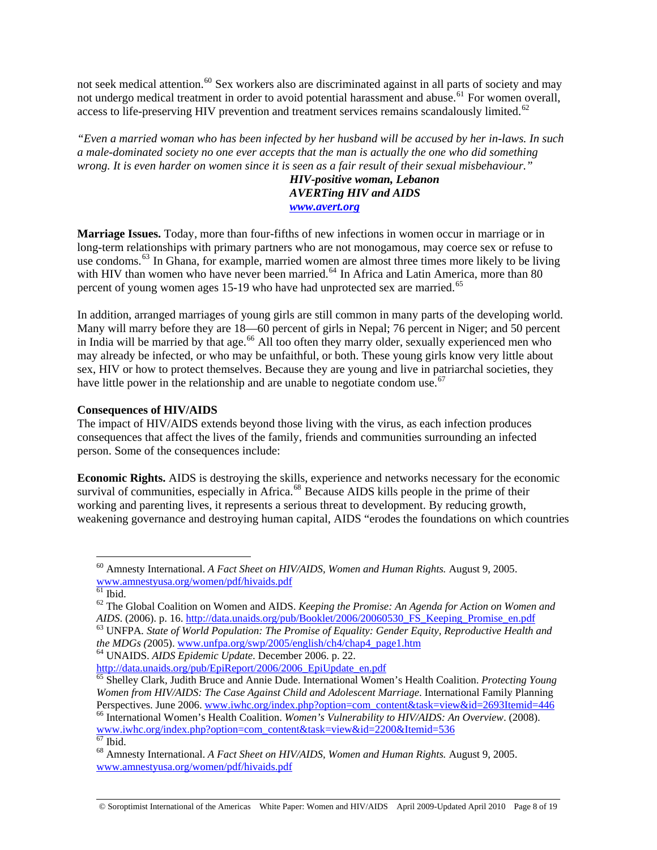not seek medical attention.<sup>[60](#page-7-0)</sup> Sex workers also are discriminated against in all parts of society and may not undergo medical treatment in order to avoid potential harassment and abuse.<sup>[61](#page-7-1)</sup> For women overall, access to life-preserving HIV prevention and treatment services remains scandalously limited. $62$ 

*"Even a married woman who has been infected by her husband will be accused by her in-laws. In such a male-dominated society no one ever accepts that the man is actually the one who did something wrong. It is even harder on women since it is seen as a fair result of their sexual misbehaviour."* 

*HIV-positive woman, Lebanon*  *AVERTing HIV and AIDS [www.avert.org](http://www.avert.org/)*

**Marriage Issues.** Today, more than four-fifths of new infections in women occur in marriage or in long-term relationships with primary partners who are not monogamous, may coerce sex or refuse to use condoms.<sup>63</sup> In Ghana, for example, married women are almost three times more likely to be living with HIV than women who have never been married.<sup>[64](#page-7-4)</sup> In Africa and Latin America, more than 80 percent of young women ages 15-19 who have had unprotected sex are married.<sup>[65](#page-7-5)</sup>

In addition, arranged marriages of young girls are still common in many parts of the developing world. Many will marry before they are 18—60 percent of girls in Nepal; 76 percent in Niger; and 50 percent in India will be married by that age.<sup>[66](#page-7-6)</sup> All too often they marry older, sexually experienced men who may already be infected, or who may be unfaithful, or both. These young girls know very little about sex, HIV or how to protect themselves. Because they are young and live in patriarchal societies, they have little power in the relationship and are unable to negotiate condom use.<sup>[67](#page-7-7)</sup>

### **Consequences of HIV/AIDS**

The impact of HIV/AIDS extends beyond those living with the virus, as each infection produces consequences that affect the lives of the family, friends and communities surrounding an infected person. Some of the consequences include:

**Economic Rights.** AIDS is destroying the skills, experience and networks necessary for the economic survival of communities, especially in Africa.<sup>[68](#page-7-8)</sup> Because AIDS kills people in the prime of their working and parenting lives, it represents a serious threat to development. By reducing growth, weakening governance and destroying human capital, AIDS "erodes the foundations on which countries

© Soroptimist International of the Americas White Paper: Women and HIV/AIDS April 2009-Updated April 2010 Page 8 of 19

<span id="page-7-0"></span><sup>60</sup> Amnesty International. *A Fact Sheet on HIV/AIDS, Women and Human Rights.* August 9, 2005. [www.amnestyusa.org/women/pdf/hivaids.pdf](http://www.amnestyusa.org/women/pdf/hivaids.pdf)

 $61$  Ibid.

<span id="page-7-2"></span><span id="page-7-1"></span><sup>62</sup> The Global Coalition on Women and AIDS. *Keeping the Promise: An Agenda for Action on Women and AIDS.* (2006). p. 16. [http://data.unaids.org/pub/Booklet/2006/20060530\\_FS\\_Keeping\\_Promise\\_en.pdf](http://data.unaids.org/pub/Booklet/2006/20060530_FS_Keeping_Promise_en.pdf) 63 UNFPA. State of World Population: The Promise of Equality: Gender Equity, Reproductive Health and

<span id="page-7-3"></span>*the MDGs (*2005). [www.unfpa.org/swp/2005/english/ch4/chap4\\_page1.htm](http://www.unfpa.org/swp/2005/english/ch4/chap4_page1.htm) 64 UNAIDS. *AIDS Epidemic Update*. December 2006. p. 22.

<span id="page-7-4"></span>[http://data.unaids.org/pub/EpiReport/2006/2006\\_EpiUpdate\\_en.pdf](http://data.unaids.org/pub/EpiReport/2006/2006_EpiUpdate_en.pdf)

<span id="page-7-5"></span><sup>65</sup> Shelley Clark, Judith Bruce and Annie Dude. International Women's Health Coalition. *Protecting Young Women from HIV/AIDS: The Case Against Child and Adolescent Marriage*. International Family Planning<br>Perspectives. June 2006. www.iwhc.org/index.php?option=com\_content&task=view&id=2693Itemid=446

<span id="page-7-6"></span><sup>&</sup>lt;sup>66</sup> International Women's Health Coalition. *Women's Vulnerability to HIV/AIDS: An Overview*. (2008). [www.iwhc.org/index.php?option=com\\_content&task=view&id=2200&Itemid=536](http://www.iwhc.org/index.php?option=com_content&task=view&id=2200&Itemid=536)  $67$  Ibid.

<span id="page-7-8"></span><span id="page-7-7"></span><sup>68</sup> Amnesty International. *A Fact Sheet on HIV/AIDS, Women and Human Rights.* August 9, 2005. [www.amnestyusa.org/women/pdf/hivaids.pdf](http://www.amnestyusa.org/women/pdf/hivaids.pdf)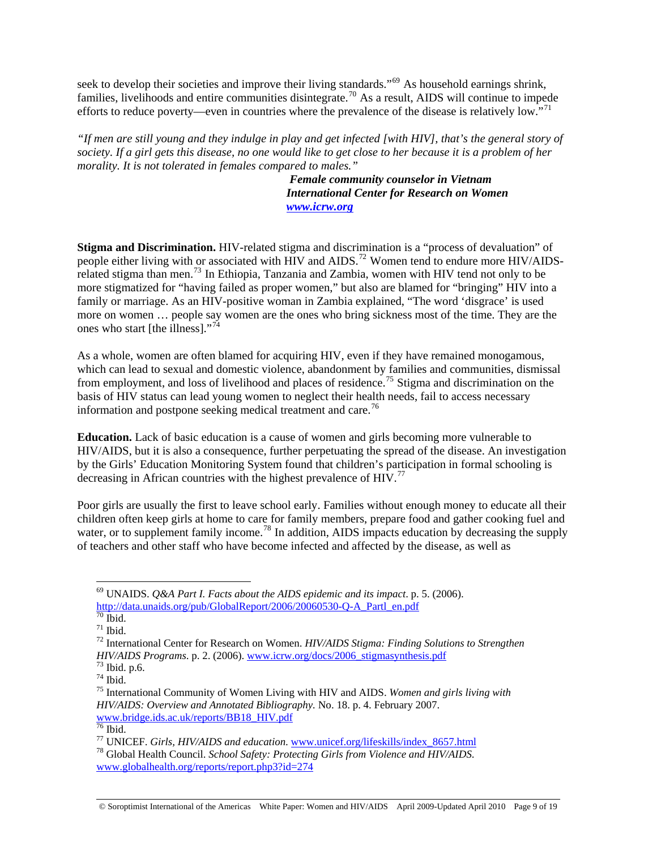seek to develop their societies and improve their living standards."<sup>[69](#page-8-0)</sup> As household earnings shrink, families, livelihoods and entire communities disintegrate.<sup>[70](#page-8-1)</sup> As a result, AIDS will continue to impede efforts to reduce poverty—even in countries where the prevalence of the disease is relatively low."<sup>[71](#page-8-2)</sup>

*"If men are still young and they indulge in play and get infected [with HIV], that's the general story of society. If a girl gets this disease, no one would like to get close to her because it is a problem of her morality. It is not tolerated in females compared to males."* 

> *Female community counselor in Vietnam International Center for Research on Women [www.icrw.org](http://www.icrw.org/)*

**Stigma and Discrimination.** HIV-related stigma and discrimination is a "process of devaluation" of people either living with or associated with HIV and AIDS.<sup>[72](#page-8-3)</sup> Women tend to endure more HIV/AIDSrelated stigma than men.[73](#page-8-4) In Ethiopia, Tanzania and Zambia, women with HIV tend not only to be more stigmatized for "having failed as proper women," but also are blamed for "bringing" HIV into a family or marriage. As an HIV-positive woman in Zambia explained, "The word 'disgrace' is used more on women … people say women are the ones who bring sickness most of the time. They are the ones who start [the illness]."<sup>[74](#page-8-5)</sup>

As a whole, women are often blamed for acquiring HIV, even if they have remained monogamous, which can lead to sexual and domestic violence, abandonment by families and communities, dismissal from employment, and loss of livelihood and places of residence.<sup>[75](#page-8-6)</sup> Stigma and discrimination on the basis of HIV status can lead young women to neglect their health needs, fail to access necessary information and postpone seeking medical treatment and care.<sup>[76](#page-8-7)</sup>

**Education.** Lack of basic education is a cause of women and girls becoming more vulnerable to HIV/AIDS, but it is also a consequence, further perpetuating the spread of the disease. An investigation by the Girls' Education Monitoring System found that children's participation in formal schooling is decreasing in African countries with the highest prevalence of HIV.<sup>[77](#page-8-8)</sup>

Poor girls are usually the first to leave school early. Families without enough money to educate all their children often keep girls at home to care for family members, prepare food and gather cooking fuel and water, or to supplement family income.<sup>[78](#page-8-9)</sup> In addition, AIDS impacts education by decreasing the supply of teachers and other staff who have become infected and affected by the disease, as well as

<span id="page-8-0"></span><sup>69</sup> UNAIDS. *Q&A Part I. Facts about the AIDS epidemic and its impact*. p. 5. (2006). [http://data.unaids.org/pub/GlobalReport/2006/20060530-Q-A\\_Partl\\_en.pdf](http://data.unaids.org/pub/GlobalReport/2006/20060530-Q-A_Partl_en.pdf)

 $70$  Ibid.

<span id="page-8-2"></span><span id="page-8-1"></span> $71$  Ibid.

<span id="page-8-3"></span><sup>72</sup> International Center for Research on Women. *HIV/AIDS Stigma: Finding Solutions to Strengthen HIV/AIDS Programs*. p. 2. (2006). [www.icrw.org/docs/2006\\_stigmasynthesis.pdf](http://www.icrw.org/docs/2006_stigmasynthesis.pdf)<sup>73</sup> Ibid. p.6.

<span id="page-8-4"></span> $74$  Ibid.

<span id="page-8-6"></span><span id="page-8-5"></span><sup>75</sup> International Community of Women Living with HIV and AIDS. *Women and girls living with HIV/AIDS: Overview and Annotated Bibliography.* No. 18. p. 4. February 2007. [www.bridge.ids.ac.uk/reports/BB18\\_HIV.pdf](http://www.bridge.ids.ac.uk/reports/BB18_HIV.pdf)<br>
<sup>[76](http://www.bridge.ids.ac.uk/reports/BB18_HIV.pdf)</sup> Ibid.<br>
<sup>77</sup> UNICEF. *Girls, HIV/AIDS and education*. www.unicef.org/lifeskills/index\_8657.html

<span id="page-8-7"></span>

<span id="page-8-9"></span><span id="page-8-8"></span><sup>&</sup>lt;sup>78</sup> Global Health Council. School Safety: Protecting Girls from Violence and HIV/AIDS. [www.globalhealth.org/reports/report.php3?id=274](http://www.globalhealth.org/reports/report.php3?id=274)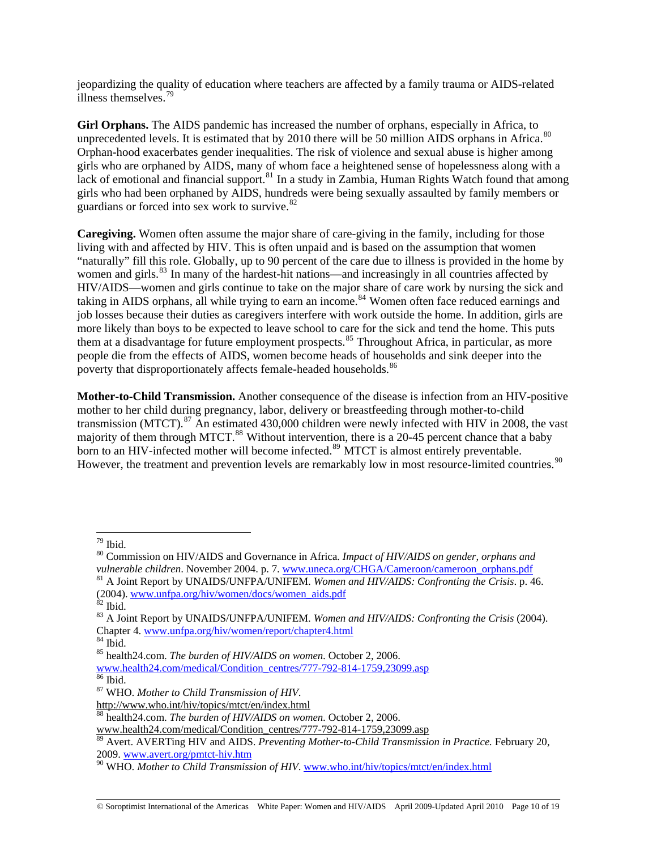jeopardizing the quality of education where teachers are affected by a family trauma or AIDS-related illness themselves  $79$ 

**Girl Orphans.** The AIDS pandemic has increased the number of orphans, especially in Africa, to unprecedented levels. It is estimated that by 2010 there will be 50 million AIDS orphans in Africa.<sup>[80](#page-9-1)</sup> Orphan-hood exacerbates gender inequalities. The risk of violence and sexual abuse is higher among girls who are orphaned by AIDS, many of whom face a heightened sense of hopelessness along with a lack of emotional and financial support.<sup>[81](#page-9-2)</sup> In a study in Zambia, Human Rights Watch found that among girls who had been orphaned by AIDS, hundreds were being sexually assaulted by family members or guardians or forced into sex work to survive.<sup>[82](#page-9-3)</sup>

**Caregiving.** Women often assume the major share of care-giving in the family, including for those living with and affected by HIV. This is often unpaid and is based on the assumption that women "naturally" fill this role. Globally, up to 90 percent of the care due to illness is provided in the home by women and girls.<sup>[83](#page-9-4)</sup> In many of the hardest-hit nations—and increasingly in all countries affected by HIV/AIDS—women and girls continue to take on the major share of care work by nursing the sick and taking in AIDS orphans, all while trying to earn an income.<sup>[84](#page-9-5)</sup> Women often face reduced earnings and job losses because their duties as caregivers interfere with work outside the home. In addition, girls are more likely than boys to be expected to leave school to care for the sick and tend the home. This puts them at a disadvantage for future employment prospects.<sup>[85](#page-9-6)</sup> Throughout Africa, in particular, as more people die from the effects of AIDS, women become heads of households and sink deeper into the poverty that disproportionately affects female-headed households.<sup>[86](#page-9-7)</sup>

**Mother-to-Child Transmission.** Another consequence of the disease is infection from an HIV-positive mother to her child during pregnancy, labor, delivery or breastfeeding through mother-to-child transmission (MTCT).<sup>[87](#page-9-8)</sup> An estimated 430,000 children were newly infected with HIV in 2008, the vast majority of them through MTCT.<sup>[88](#page-9-9)</sup> Without intervention, there is a 20-45 percent chance that a baby born to an HIV-infected mother will become infected.<sup>[89](#page-9-10)</sup> MTCT is almost entirely preventable. However, the treatment and prevention levels are remarkably low in most resource-limited countries.<sup>[90](#page-9-11)</sup>

 $79$  Ibid.

<span id="page-9-1"></span><span id="page-9-0"></span><sup>80</sup> Commission on HIV/AIDS and Governance in Africa*. Impact of HIV/AIDS on gender, orphans and vulnerable children*. November 2004. p. 7. [www.uneca.org/CHGA/Cameroon/cameroon\\_orphans.pdf](http://www.uneca.org/CHGA/Cameroon/cameroon_orphans.pdf) <sup>81</sup> A Joint Report by UNAIDS/UNFPA/UNIFEM. *Women and HIV/AIDS: Confronting the Crisis*. p. 46. (2004). [www.unfpa.org/hiv/women/docs/women\\_aids.pdf](http://www.unfpa.org/hiv/women/docs/women_aids.pdf) 82 Ibid.

<span id="page-9-3"></span><span id="page-9-2"></span>

<span id="page-9-4"></span><sup>83</sup> A Joint Report by UNAIDS/UNFPA/UNIFEM. *Women and HIV/AIDS: Confronting the Crisis* (2004). Chapter 4. [www.unfpa.org/hiv/women/report/chapter4.html](http://www.unfpa.org/hiv/women/report/chapter4.html) 84 Ibid.

<span id="page-9-5"></span>

<sup>85</sup> health24.com. *The burden of HIV/AIDS on women.* October 2, 2006.

<span id="page-9-6"></span>[www.health24.com/medical/Condition\\_centres/777-792-814-1759,23099.asp](http://www.health24.com/medical/Condition_centres/777-792-814-1759,23099.asp)

<span id="page-9-7"></span> $86$  Ibid.

<span id="page-9-8"></span><sup>87</sup> WHO. *Mother to Child Transmission of HIV*.

<http://www.who.int/hiv/topics/mtct/en/index.html>

<span id="page-9-9"></span><sup>88</sup> health24.com. *The burden of HIV/AIDS on women.* October 2, 2006.

[www.health24.com/medical/Condition\\_centres/777-792-814-1759,23099.asp](http://www.health24.com/medical/Condition_centres/777-792-814-1759,23099.asp)

<span id="page-9-10"></span><sup>89</sup> Avert. AVERTing HIV and AIDS. *Preventing Mother-to-Child Transmission in Practice.* February 20, 2009. [www.avert.org/pmtct-hiv.htm](http://www.avert.org/pmtct-hiv.htm)

<span id="page-9-11"></span><sup>90</sup> WHO. *Mother to Child Transmission of HIV*. [www.who.int/hiv/topics/mtct/en/index.html](http://www.who.int/hiv/topics/mtct/en/index.html)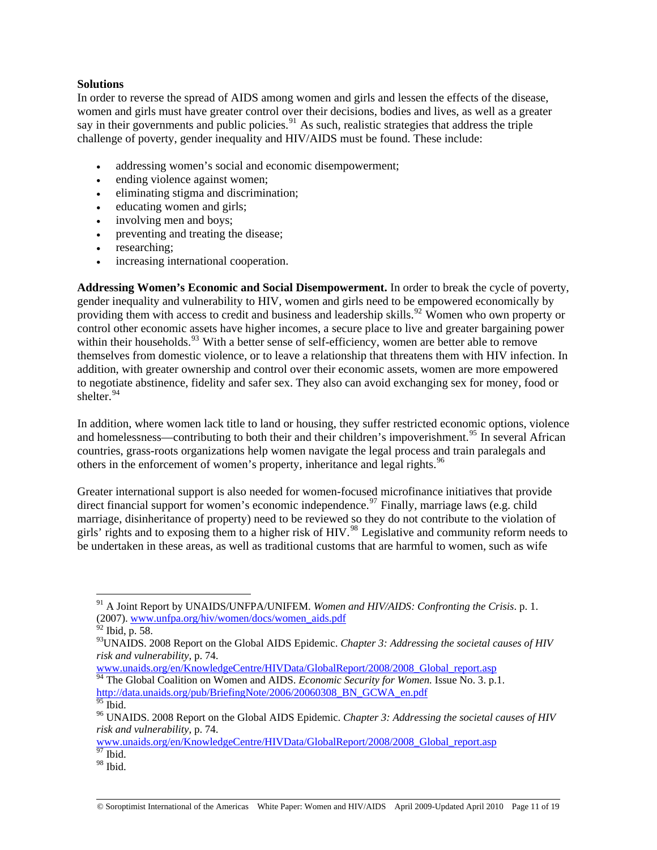## **Solutions**

In order to reverse the spread of AIDS among women and girls and lessen the effects of the disease, women and girls must have greater control over their decisions, bodies and lives, as well as a greater say in their governments and public policies.<sup>[91](#page-10-0)</sup> As such, realistic strategies that address the triple challenge of poverty, gender inequality and HIV/AIDS must be found. These include:

- addressing women's social and economic disempowerment;
- ending violence against women;
- eliminating stigma and discrimination;
- educating women and girls;
- involving men and boys;
- preventing and treating the disease;
- researching;
- increasing international cooperation.

**Addressing Women's Economic and Social Disempowerment.** In order to break the cycle of poverty, gender inequality and vulnerability to HIV, women and girls need to be empowered economically by providing them with access to credit and business and leadership skills.<sup>[92](#page-10-1)</sup> Women who own property or control other economic assets have higher incomes, a secure place to live and greater bargaining power within their households.<sup>[93](#page-10-2)</sup> With a better sense of self-efficiency, women are better able to remove themselves from domestic violence, or to leave a relationship that threatens them with HIV infection. In addition, with greater ownership and control over their economic assets, women are more empowered to negotiate abstinence, fidelity and safer sex. They also can avoid exchanging sex for money, food or shelter.<sup>[94](#page-10-3)</sup>

In addition, where women lack title to land or housing, they suffer restricted economic options, violence and homelessness—contributing to both their and their children's impoverishment.<sup>[95](#page-10-4)</sup> In several African countries, grass-roots organizations help women navigate the legal process and train paralegals and others in the enforcement of women's property, inheritance and legal rights.<sup>[96](#page-10-5)</sup>

Greater international support is also needed for women-focused microfinance initiatives that provide direct financial support for women's economic independence.<sup>[97](#page-10-6)</sup> Finally, marriage laws (e.g. child marriage, disinheritance of property) need to be reviewed so they do not contribute to the violation of girls' rights and to exposing them to a higher risk of HIV.[98](#page-10-7) Legislative and community reform needs to be undertaken in these areas, as well as traditional customs that are harmful to women, such as wife

<span id="page-10-0"></span><sup>91</sup> A Joint Report by UNAIDS/UNFPA/UNIFEM. *Women and HIV/AIDS: Confronting the Crisis*. p. 1. (2007). [www.unfpa.org/hiv/women/docs/women\\_aids.pdf](http://www.unfpa.org/hiv/women/docs/women_aids.pdf)

 $92$  Ibid, p. 58.

<span id="page-10-2"></span><span id="page-10-1"></span><sup>93</sup>UNAIDS. 2008 Report on the Global AIDS Epidemic. *Chapter 3: Addressing the societal causes of HIV risk and vulnerability,* p. 74.

<span id="page-10-3"></span><sup>&</sup>lt;sup>94</sup> The Global Coalition on Women and AIDS. *Economic Security for Women*. Issue No. 3. p.1. [http://data.unaids.org/pub/BriefingNote/2006/20060308\\_BN\\_GCWA\\_en.pdf](http://data.unaids.org/pub/BriefingNote/2006/20060308_BN_GCWA_en.pdf)  $\overline{^{95}}$  Ibid.

<span id="page-10-5"></span><span id="page-10-4"></span><sup>96</sup> UNAIDS. 2008 Report on the Global AIDS Epidemic. *Chapter 3: Addressing the societal causes of HIV risk and vulnerability,* p. 74.

<span id="page-10-6"></span>www.unaids.org/en/KnowledgeCentre/HIVData/GlobalReport/2008/2008\_Global\_report.asp <sup>97</sup> Ibid.

<span id="page-10-7"></span><sup>98</sup> Ibid.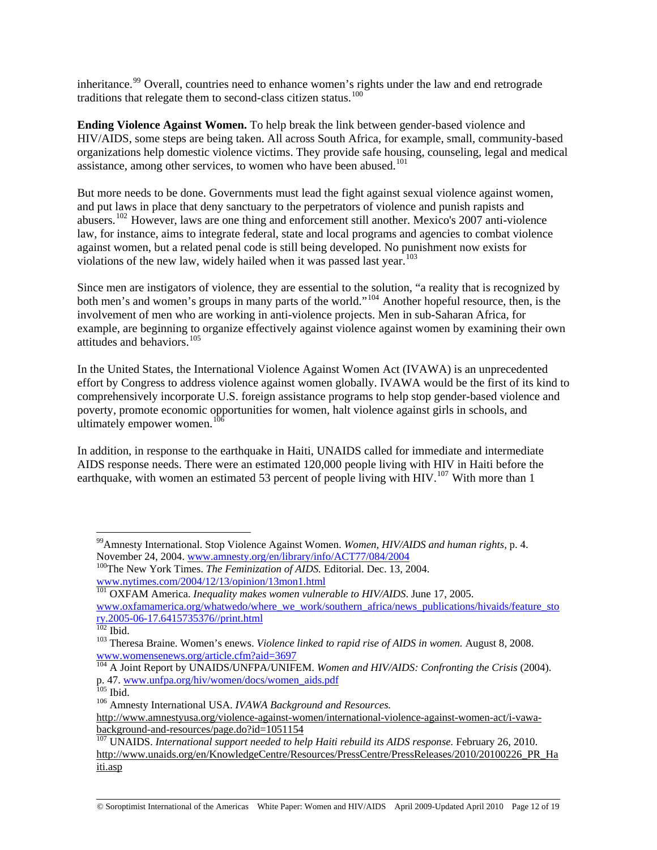inheritance.<sup>[99](#page-11-0)</sup> Overall, countries need to enhance women's rights under the law and end retrograde traditions that relegate them to second-class citizen status.<sup>[100](#page-11-1)</sup>

**Ending Violence Against Women.** To help break the link between gender-based violence and HIV/AIDS, some steps are being taken. All across South Africa, for example, small, community-based organizations help domestic violence victims. They provide safe housing, counseling, legal and medical assistance, among other services, to women who have been abused.<sup>[101](#page-11-2)</sup>

But more needs to be done. Governments must lead the fight against sexual violence against women, and put laws in place that deny sanctuary to the perpetrators of violence and punish rapists and abusers.[102](#page-11-3) However, laws are one thing and enforcement still another. Mexico's 2007 anti-violence law, for instance, aims to integrate federal, state and local programs and agencies to combat violence against women, but a related penal code is still being developed. No punishment now exists for violations of the new law, widely hailed when it was passed last year.<sup>103</sup>

Since men are instigators of violence, they are essential to the solution, "a reality that is recognized by both men's and women's groups in many parts of the world."<sup>[104](#page-11-4)</sup> Another hopeful resource, then, is the involvement of men who are working in anti-violence projects. Men in sub-Saharan Africa, for example, are beginning to organize effectively against violence against women by examining their own attitudes and behaviors.[105](#page-11-5)

In the United States, the International Violence Against Women Act (IVAWA) is an unprecedented effort by Congress to address violence against women globally. IVAWA would be the first of its kind to comprehensively incorporate U.S. foreign assistance programs to help stop gender-based violence and poverty, promote economic opportunities for women, halt violence against girls in schools, and ultimately empower women. $^{10}$ 

In addition, in response to the earthquake in Haiti, UNAIDS called for immediate and intermediate AIDS response needs. There were an estimated 120,000 people living with HIV in Haiti before the earthquake, with women an estimated 53 percent of people living with HIV.<sup>[107](#page-11-7)</sup> With more than 1

<span id="page-11-0"></span><sup>&</sup>lt;sup>99</sup>Amnesty International. Stop Violence Against Women. *Women, HIV/AIDS and human rights, p. 4.* November 24, 2004. *www.amnesty.org/en/library/info/ACT77/084/2004* 

<span id="page-11-1"></span><sup>&</sup>lt;sup>100</sup>The New York Times. *The Feminization of AIDS*. Editorial. Dec. 13, 2004. [www.nytimes.com/2004/12/13/opinion/13mon1.html](http://www.nytimes.com/2004/12/13/opinion/13mon1.html)

<span id="page-11-2"></span><sup>&</sup>lt;sup>101</sup> OXFAM America. *Inequality makes women vulnerable to HIV/AIDS*. June 17, 2005. [www.oxfamamerica.org/whatwedo/where\\_we\\_work/southern\\_africa/news\\_publications/hivaids/feature\\_sto](http://www.oxfamamerica.org/whatwedo/where_we_work/southern_africa/news_publications/hivaids/feature_story.2005-06-17.6415735376//print.html) [ry.2005-06-17.6415735376//print.html](http://www.oxfamamerica.org/whatwedo/where_we_work/southern_africa/news_publications/hivaids/feature_story.2005-06-17.6415735376//print.html)<br><sup>102</sup> Ibid.

<span id="page-11-3"></span><sup>&</sup>lt;sup>103</sup> Theresa Braine. Women's enews. *Violence linked to rapid rise of AIDS in women*. August 8, 2008. [www.womensenews.org/article.cfm?aid=3697](http://www.womensenews.org/article.cfm?aid=3697)

<span id="page-11-4"></span><sup>&</sup>lt;sup>104</sup> A Joint Report by UNAIDS/UNFPA/UNIFEM. *Women and HIV/AIDS: Confronting the Crisis* (2004). p. 47. [www.unfpa.org/hiv/women/docs/women\\_aids.pdf](http://www.unfpa.org/hiv/women/docs/women_aids.pdf)<br><sup>105</sup> Ibid. 106 Amnesty International USA. *IVAWA Background and Resources*.

<span id="page-11-6"></span><span id="page-11-5"></span>

[http://www.amnestyusa.org/violence-against-women/international-violence-against-women-act/i-vawa](http://www.amnestyusa.org/violence-against-women/international-violence-against-women-act/i-vawa-background-and-resources/page.do?id=1051154)[background-and-resources/page.do?id=1051154](http://www.amnestyusa.org/violence-against-women/international-violence-against-women-act/i-vawa-background-and-resources/page.do?id=1051154)

<span id="page-11-7"></span><sup>&</sup>lt;sup>107</sup> UNAIDS. *International support needed to help Haiti rebuild its AIDS response*. February 26, 2010. [http://www.unaids.org/en/KnowledgeCentre/Resources/PressCentre/PressReleases/2010/20100226\\_PR\\_Ha](http://www.unaids.org/en/KnowledgeCentre/Resources/PressCentre/PressReleases/2010/20100226_PR_Haiti.asp) [iti.asp](http://www.unaids.org/en/KnowledgeCentre/Resources/PressCentre/PressReleases/2010/20100226_PR_Haiti.asp)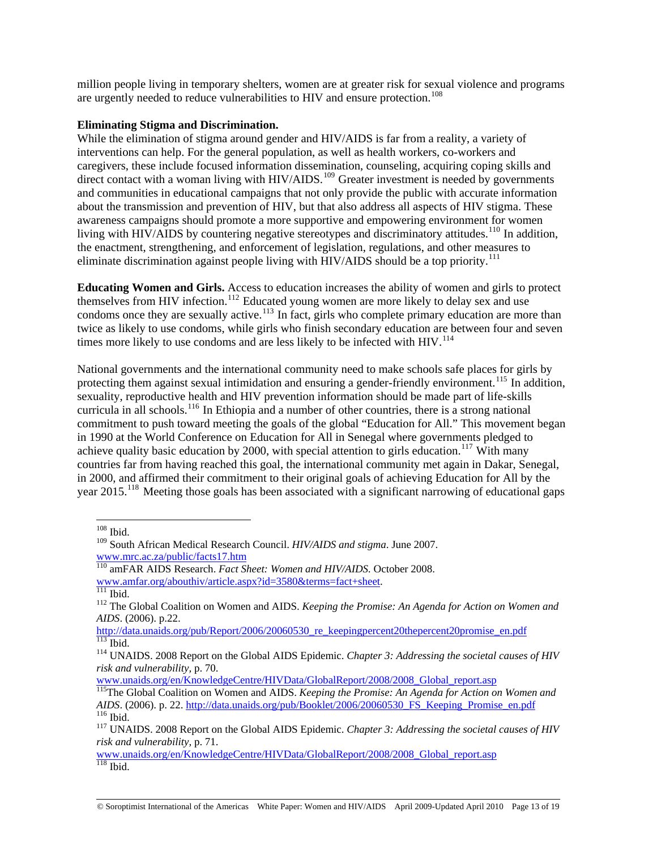million people living in temporary shelters, women are at greater risk for sexual violence and programs are urgently needed to reduce vulnerabilities to HIV and ensure protection.<sup>[108](#page-12-0)</sup>

#### **Eliminating Stigma and Discrimination.**

While the elimination of stigma around gender and HIV/AIDS is far from a reality, a variety of interventions can help. For the general population, as well as health workers, co-workers and caregivers, these include focused information dissemination, counseling, acquiring coping skills and direct contact with a woman living with HIV/AIDS.<sup>[109](#page-12-1)</sup> Greater investment is needed by governments and communities in educational campaigns that not only provide the public with accurate information about the transmission and prevention of HIV, but that also address all aspects of HIV stigma. These awareness campaigns should promote a more supportive and empowering environment for women living with HIV/AIDS by countering negative stereotypes and discriminatory attitudes.<sup>[110](#page-12-2)</sup> In addition, the enactment, strengthening, and enforcement of legislation, regulations, and other measures to eliminate discrimination against people living with HIV/AIDS should be a top priority.<sup>[111](#page-12-3)</sup>

**Educating Women and Girls.** Access to education increases the ability of women and girls to protect themselves from HIV infection.<sup>[112](#page-12-4)</sup> Educated young women are more likely to delay sex and use condoms once they are sexually active.<sup>[113](#page-12-5)</sup> In fact, girls who complete primary education are more than twice as likely to use condoms, while girls who finish secondary education are between four and seven times more likely to use condoms and are less likely to be infected with HIV.<sup>[114](#page-12-6)</sup>

National governments and the international community need to make schools safe places for girls by protecting them against sexual intimidation and ensuring a gender-friendly environment.<sup>[115](#page-12-7)</sup> In addition, sexuality, reproductive health and HIV prevention information should be made part of life-skills curricula in all schools.<sup>[116](#page-12-8)</sup> In Ethiopia and a number of other countries, there is a strong national commitment to push toward meeting the goals of the global "Education for All." This movement began in 1990 at the World Conference on Education for All in Senegal where governments pledged to achieve quality basic education by 2000, with special attention to girls education.<sup>[117](#page-12-9)</sup> With many countries far from having reached this goal, the international community met again in Dakar, Senegal, in 2000, and affirmed their commitment to their original goals of achieving Education for All by the year 2015.<sup>[118](#page-12-10)</sup> Meeting those goals has been associated with a significant narrowing of educational gaps

<sup>108</sup> Ibid.

<span id="page-12-1"></span><span id="page-12-0"></span><sup>109</sup> South African Medical Research Council. *HIV/AIDS and stigma*. June 2007. [www.mrc.ac.za/public/facts17.htm](http://www.mrc.ac.za/public/facts17.htm)

<span id="page-12-2"></span><sup>110</sup> amFAR AIDS Research. *Fact Sheet: Women and HIV/AIDS.* October 2008.

<span id="page-12-3"></span>[www.amfar.org/abouthiv/article.aspx?id=3580&terms=fact+sheet](http://www.amfar.org/abouthiv/article.aspx?id=3580&terms=fact+sheet).<br><sup>[111](http://www.amfar.org/abouthiv/article.aspx?id=3580&terms=fact+sheet)</sup> Ibid. 112 The Global Coalition on Women and AIDS. *Keeping the Promise: An Agenda for Action on Women and* 

<span id="page-12-4"></span>*AIDS*. (2006). p.22.<br>
<u>http://data.unaids.org/pub/Report/2006/20060530\_re\_keepingpercent20thepercent20promise en.pdf</u> http://data.unaids.org/pub/Report/2016-2006<br><sup>114</sup> UNAIDS. 2008 Report on the Global AIDS Epidemic. *Chapter 3: Addressing the societal causes of HIV* 

<span id="page-12-6"></span><span id="page-12-5"></span>*risk and vulnerability,* p. 70.

[www.unaids.org/en/KnowledgeCentre/HIVData/GlobalReport/2008/2008\\_Global\\_report.asp](http://www.unaids.org/en/KnowledgeCentre/HIVData/GlobalReport/2008/2008_Global_report.asp)

<span id="page-12-7"></span><sup>115</sup>The Global Coalition on Women and AIDS. *Keeping the Promise: An Agenda for Action on Women and AIDS*. (2006). p. 22. http://data.unaids.org/pub/Booklet/2006/20060530 FS Keeping Promise en.pdf <sup>116</sup> Ibid.<br><sup>117</sup> UNAIDS. 2008 Report on the Global AIDS Epidemic. *Chapter 3: Addressing the societal causes of HIV* 

<span id="page-12-9"></span><span id="page-12-8"></span>*risk and vulnerability,* p. 71.

<span id="page-12-10"></span>[www.unaids.org/en/KnowledgeCentre/HIVData/GlobalReport/2008/2008\\_Global\\_report.asp](http://www.unaids.org/en/KnowledgeCentre/HIVData/GlobalReport/2008/2008_Global_report.asp)  $118$  Ibid.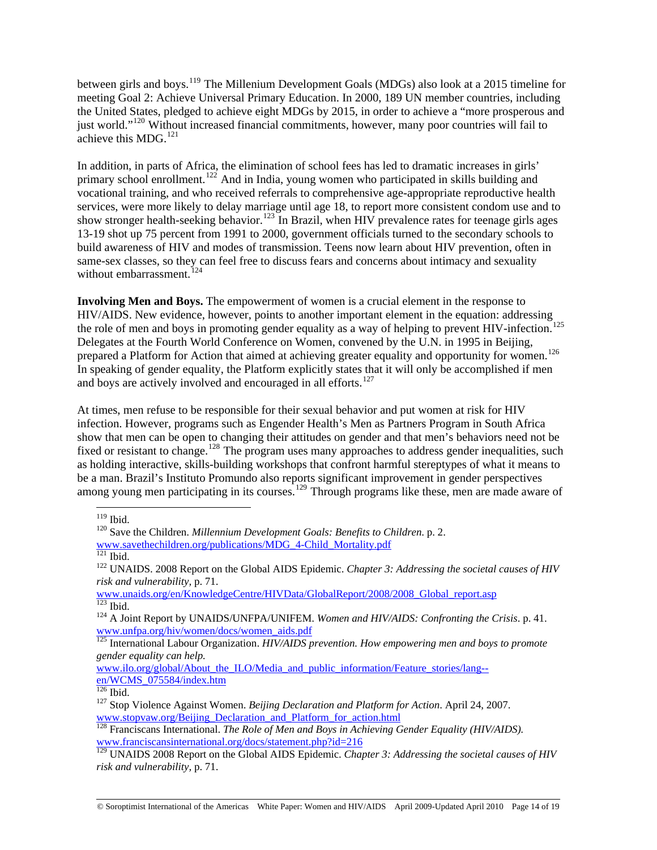between girls and boys.[119](#page-13-0) The Millenium Development Goals (MDGs) also look at a 2015 timeline for meeting Goal 2: Achieve Universal Primary Education. In 2000, 189 UN member countries, including the United States, pledged to achieve eight MDGs by 2015, in order to achieve a "more prosperous and just world."<sup>[120](#page-13-1)</sup> Without increased financial commitments, however, many poor countries will fail to achieve this MDG.<sup>[121](#page-13-2)</sup>

In addition, in parts of Africa, the elimination of school fees has led to dramatic increases in girls' primary school enrollment.<sup>[122](#page-13-3)</sup> And in India, young women who participated in skills building and vocational training, and who received referrals to comprehensive age-appropriate reproductive health services, were more likely to delay marriage until age 18, to report more consistent condom use and to show stronger health-seeking behavior.<sup>[123](#page-13-4)</sup> In Brazil, when HIV prevalence rates for teenage girls ages 13-19 shot up 75 percent from 1991 to 2000, government officials turned to the secondary schools to build awareness of HIV and modes of transmission. Teens now learn about HIV prevention, often in same-sex classes, so they can feel free to discuss fears and concerns about intimacy and sexuality without embarrassment. $^{124}$  $^{124}$  $^{124}$ 

**Involving Men and Boys.** The empowerment of women is a crucial element in the response to HIV/AIDS. New evidence, however, points to another important element in the equation: addressing the role of men and boys in promoting gender equality as a way of helping to prevent HIV-infection. Delegates at the Fourth World Conference on Women, convened by the U.N. in 1995 in Beijing, prepared a Platform for Action that aimed at achieving greater equality and opportunity for women.<sup>[126](#page-13-7)</sup> In speaking of gender equality, the Platform explicitly states that it will only be accomplished if men and boys are actively involved and encouraged in all efforts.<sup>[127](#page-13-8)</sup>

At times, men refuse to be responsible for their sexual behavior and put women at risk for HIV infection. However, programs such as Engender Health's Men as Partners Program in South Africa show that men can be open to changing their attitudes on gender and that men's behaviors need not be fixed or resistant to change.<sup>[128](#page-13-9)</sup> The program uses many approaches to address gender inequalities, such as holding interactive, skills-building workshops that confront harmful stereptypes of what it means to be a man. Brazil's Instituto Promundo also reports significant improvement in gender perspectives among young men participating in its courses.<sup>[129](#page-13-10)</sup> Through programs like these, men are made aware of

<span id="page-13-3"></span>[www.unaids.org/en/KnowledgeCentre/HIVData/GlobalReport/2008/2008\\_Global\\_report.asp](http://www.unaids.org/en/KnowledgeCentre/HIVData/GlobalReport/2008/2008_Global_report.asp)<br><sup>123</sup> Ibid

<span id="page-13-0"></span> $119$  Ibid.

<span id="page-13-1"></span><sup>&</sup>lt;sup>120</sup> Save the Children. *Millennium Development Goals: Benefits to Children*. p. 2.

<span id="page-13-2"></span>[www.savethechildren.org/publications/MDG\\_4-Child\\_Mortality.pdf](http://www.savethechildren.org/publications/MDG_4-Child_Mortality.pdf)<br><sup>121</sup> Ibid. 122 UNAIDS. 2008 Report on the Global AIDS Epidemic. *Chapter 3: Addressing the societal causes of HIV risk and vulnerability,* p. 71.

<span id="page-13-5"></span><span id="page-13-4"></span><sup>&</sup>lt;sup>124</sup> A Joint Report by UNAIDS/UNFPA/UNIFEM. *Women and HIV/AIDS: Confronting the Crisis.* p. 41. [www.unfpa.org/hiv/women/docs/women\\_aids.pdf](http://www.unfpa.org/hiv/women/docs/women_aids.pdf)

<span id="page-13-6"></span><sup>125</sup> International Labour Organization. *HIV/AIDS prevention. How empowering men and boys to promote gender equality can help.*

[www.ilo.org/global/About\\_the\\_ILO/Media\\_and\\_public\\_information/Feature\\_stories/lang-](http://www.ilo.org/global/About_the_ILO/Media_and_public_information/Feature_stories/lang--en/WCMS_075584/index.htm) [en/WCMS\\_075584/index.htm](http://www.ilo.org/global/About_the_ILO/Media_and_public_information/Feature_stories/lang--en/WCMS_075584/index.htm)

<span id="page-13-8"></span><span id="page-13-7"></span><sup>&</sup>lt;sup>127</sup> Stop Violence Against Women. *Beijing Declaration and Platform for Action*. April 24, 2007. [www.stopvaw.org/Beijing\\_Declaration\\_and\\_Platform\\_for\\_action.html](http://www.stopvaw.org/Beijing_Declaration_and_Platform_for_action.html)

<span id="page-13-9"></span><sup>128</sup> Franciscans International. *The Role of Men and Boys in Achieving Gender Equality (HIV/AIDS).* [www.franciscansinternational.org/docs/statement.php?id=216](http://www.franciscansinternational.org/docs/statement.php?id=216)

<span id="page-13-10"></span><sup>&</sup>lt;sup>129</sup> UNAIDS 2008 Report on the Global AIDS Epidemic. *Chapter 3: Addressing the societal causes of HIV risk and vulnerability,* p. 71.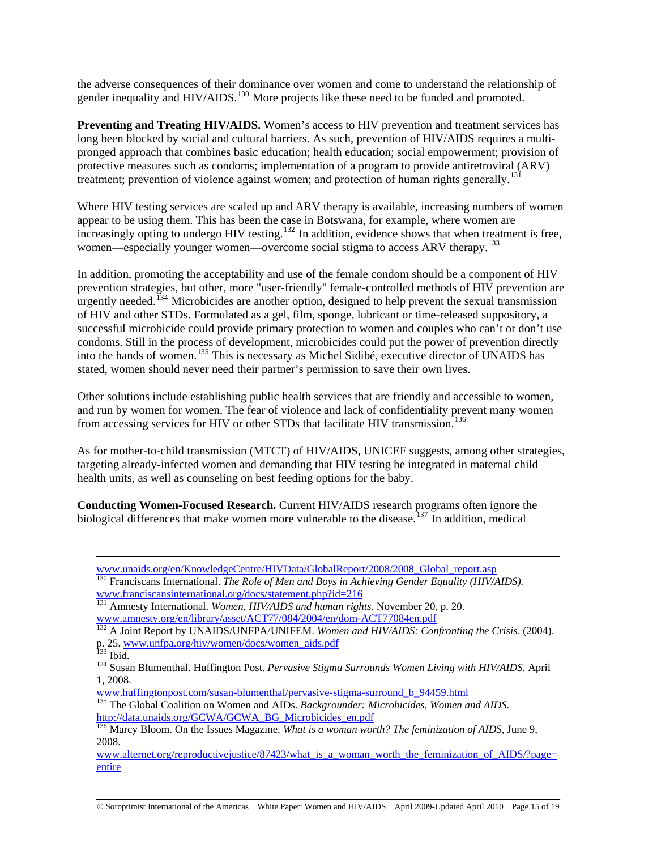the adverse consequences of their dominance over women and come to understand the relationship of gender inequality and HIV/AIDS.<sup>[130](#page-14-0)</sup> More projects like these need to be funded and promoted.

**Preventing and Treating HIV/AIDS.** Women's access to HIV prevention and treatment services has long been blocked by social and cultural barriers. As such, prevention of HIV/AIDS requires a multipronged approach that combines basic education; health education; social empowerment; provision of protective measures such as condoms; implementation of a program to provide antiretroviral (ARV) treatment; prevention of violence against women; and protection of human rights generally.<sup>[131](#page-14-1)</sup>

Where HIV testing services are scaled up and ARV therapy is available, increasing numbers of women appear to be using them. This has been the case in Botswana, for example, where women are increasingly opting to undergo HIV testing.<sup>[132](#page-14-2)</sup> In addition, evidence shows that when treatment is free, women—especially younger women—overcome social stigma to access ARV therapy.<sup>[133](#page-14-3)</sup>

In addition, promoting the acceptability and use of the female condom should be a component of HIV prevention strategies, but other, more "user-friendly" female-controlled methods of HIV prevention are urgently needed.<sup>[134](#page-14-4)</sup> Microbicides are another option, designed to help prevent the sexual transmission of HIV and other STDs. Formulated as a gel, film, sponge, lubricant or time-released suppository, a successful microbicide could provide primary protection to women and couples who can't or don't use condoms. Still in the process of development, microbicides could put the power of prevention directly into the hands of women.[135](#page-14-5) This is necessary as Michel Sidibé, executive director of UNAIDS has stated, women should never need their partner's permission to save their own lives.

Other solutions include establishing public health services that are friendly and accessible to women, and run by women for women. The fear of violence and lack of confidentiality prevent many women from accessing services for HIV or other STDs that facilitate HIV transmission.<sup>[136](#page-14-6)</sup>

As for mother-to-child transmission (MTCT) of HIV/AIDS, UNICEF suggests, among other strategies, targeting already-infected women and demanding that HIV testing be integrated in maternal child health units, as well as counseling on best feeding options for the baby.

<span id="page-14-7"></span>**Conducting Women-Focused Research.** Current HIV/AIDS research programs often ignore the biological differences that make women more vulnerable to the disease.<sup>[137](#page-14-7)</sup> In addition, medical

[www.huffingtonpost.com/susan-blumenthal/pervasive-stigma-surround\\_b\\_94459.html](http://www.huffingtonpost.com/susan-blumenthal/pervasive-stigma-surround_b_94459.html)

<span id="page-14-5"></span>135 The Global Coalition on Women and AIDs. *Backgrounder: Microbicides, Women and AIDS.* [http://data.unaids.org/GCWA/GCWA\\_BG\\_Microbicides\\_en.pdf](http://data.unaids.org/GCWA/GCWA_BG_Microbicides_en.pdf)

© Soroptimist International of the Americas White Paper: Women and HIV/AIDS April 2009-Updated April 2010 Page 15 of 19

[www.unaids.org/en/KnowledgeCentre/HIVData/GlobalReport/2008/2008\\_Global\\_report.asp](http://www.unaids.org/en/KnowledgeCentre/HIVData/GlobalReport/2008/2008_Global_report.asp) 130 Franciscans International. *The Role of Men and Boys in Achieving Gender Equality (HIV/AIDS).*

<span id="page-14-1"></span><span id="page-14-0"></span>[www.franciscansinternational.org/docs/statement.php?id=216](http://www.franciscansinternational.org/docs/statement.php?id=216) [131](http://www.franciscansinternational.org/docs/statement.php?id=216) Amnesty International. *Women, HIV/AIDS and human rights*. November 20, p. 20. [www.amnesty.org/en/library/asset/ACT77/084/2004/en/dom-ACT77084en.pdf](http://www.amnesty.org/en/library/asset/ACT77/084/2004/en/dom-ACT77084en.pdf)

<span id="page-14-2"></span><sup>&</sup>lt;sup>132</sup> A Joint Report by UNAIDS/UNFPA/UNIFEM. *Women and HIV/AIDS: Confronting the Crisis.* (2004). p. 25. [www.unfpa.org/hiv/women/docs/women\\_aids.pdf](http://www.unfpa.org/hiv/women/docs/women_aids.pdf)<br>
<sup>133</sup> Ibid. 134 Susan Blumenthal. Huffington Post. *Pervasive Stigma Surrounds Women Living with HIV/AIDS*. April

<span id="page-14-4"></span><span id="page-14-3"></span><sup>1, 2008.</sup> 

<span id="page-14-6"></span><sup>136</sup> Marcy Bloom. On the Issues Magazine. *What is a woman worth? The feminization of AIDS*, June 9, 2008.

[www.alternet.org/reproductivejustice/87423/what\\_is\\_a\\_woman\\_worth\\_the\\_feminization\\_of\\_AIDS/?page=](http://www.alternet.org/reproductivejustice/87423/what_is_a_woman_worth_the_feminization_of_AIDS/?page=entire) [entire](http://www.alternet.org/reproductivejustice/87423/what_is_a_woman_worth_the_feminization_of_AIDS/?page=entire)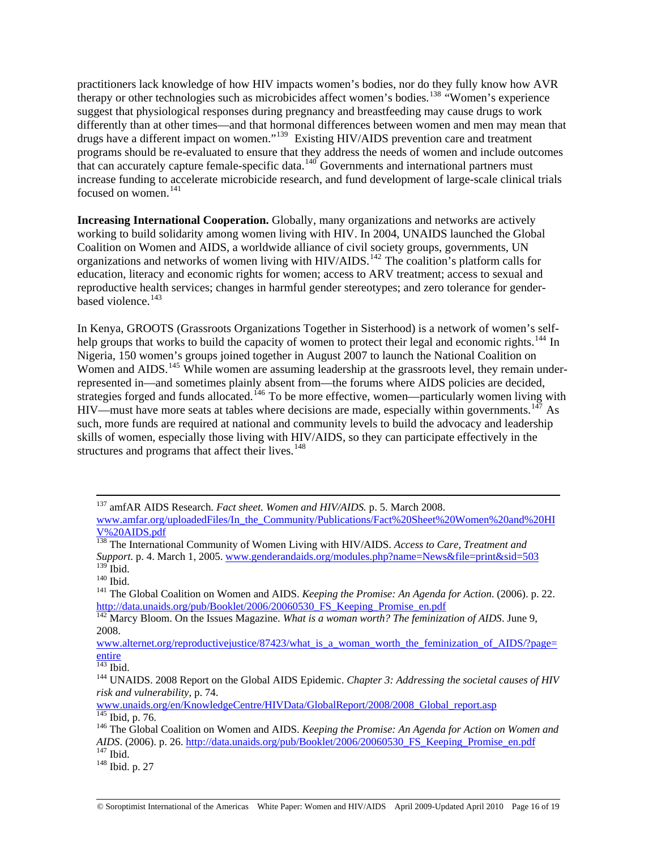practitioners lack knowledge of how HIV impacts women's bodies, nor do they fully know how AVR therapy or other technologies such as microbicides affect women's bodies.[138](#page-15-0) "Women's experience suggest that physiological responses during pregnancy and breastfeeding may cause drugs to work differently than at other times—and that hormonal differences between women and men may mean that drugs have a different impact on women."[139](#page-15-1) Existing HIV/AIDS prevention care and treatment programs should be re-evaluated to ensure that they address the needs of women and include outcomes that can accurately capture female-specific data.<sup>[140](#page-15-2)</sup> Governments and international partners must increase funding to accelerate microbicide research, and fund development of large-scale clinical trials focused on women. $141$ 

**Increasing International Cooperation.** Globally, many organizations and networks are actively working to build solidarity among women living with HIV. In 2004, UNAIDS launched the Global Coalition on Women and AIDS, a worldwide alliance of civil society groups, governments, UN organizations and networks of women living with HIV/AIDS.<sup>[142](#page-15-4)</sup> The coalition's platform calls for education, literacy and economic rights for women; access to ARV treatment; access to sexual and reproductive health services; changes in harmful gender stereotypes; and zero tolerance for genderbased violence. $143$ 

In Kenya, GROOTS (Grassroots Organizations Together in Sisterhood) is a network of women's self-help groups that works to build the capacity of women to protect their legal and economic rights.<sup>[144](#page-15-6)</sup> In Nigeria, 150 women's groups joined together in August 2007 to launch the National Coalition on Women and AIDS.<sup>[145](#page-15-7)</sup> While women are assuming leadership at the grassroots level, they remain underrepresented in—and sometimes plainly absent from—the forums where AIDS policies are decided, strategies forged and funds allocated.<sup>[146](#page-15-8)</sup> To be more effective, women—particularly women living with  $HIV$ —must have more seats at tables where decisions are made, especially within governments.<sup>[147](#page-15-9)</sup> As such, more funds are required at national and community levels to build the advocacy and leadership skills of women, especially those living with HIV/AIDS, so they can participate effectively in the structures and programs that affect their lives. $148$ 

<span id="page-15-5"></span>

 <sup>137</sup> amfAR AIDS Research. *Fact sheet. Women and HIV/AIDS.* p. 5. March 2008.

[www.amfar.org/uploadedFiles/In\\_the\\_Community/Publications/Fact%20Sheet%20Women%20and%20HI](http://www.amfar.org/uploadedFiles/In_the_Community/Publications/Fact%20Sheet%20Women%20and%20HIV%20AIDS.pdf) [V%20AIDS.pdf](http://www.amfar.org/uploadedFiles/In_the_Community/Publications/Fact%20Sheet%20Women%20and%20HIV%20AIDS.pdf)

<span id="page-15-0"></span><sup>138</sup> The International Community of Women Living with HIV/AIDS. *Access to Care, Treatment and Support*. p. 4. March 1, 2005. [www.genderandaids.org/modules.php?name=News&file=print&sid=503](http://www.genderandaids.org/modules.php?name=News&file=print&sid=503)

<span id="page-15-3"></span><span id="page-15-2"></span><span id="page-15-1"></span><sup>139</sup> Ibid. 140 Ibid. 141 The Global Coalition on Women and AIDS. *Keeping the Promise: An Agenda for Action*. (2006). p. 22. [http://data.unaids.org/pub/Booklet/2006/20060530\\_FS\\_Keeping\\_Promise\\_en.pdf](http://data.unaids.org/pub/Booklet/2006/20060530_FS_Keeping_Promise_en.pdf) 142 Marcy Bloom. On the Issues Magazine. *What is a woman worth? The feminization of AIDS*. June 9,

<span id="page-15-4"></span><sup>2008.</sup> 

[www.alternet.org/reproductivejustice/87423/what\\_is\\_a\\_woman\\_worth\\_the\\_feminization\\_of\\_AIDS/?page=](http://www.alternet.org/reproductivejustice/87423/what_is_a_woman_worth_the_feminization_of_AIDS/?page=entire)  $\frac{\text{entire}}{143}$  $\frac{\text{entire}}{143}$  $\frac{\text{entire}}{143}$  Ibid.

<span id="page-15-6"></span><sup>&</sup>lt;sup>144</sup> UNAIDS. 2008 Report on the Global AIDS Epidemic. *Chapter 3: Addressing the societal causes of HIV risk and vulnerability,* p. 74.

<span id="page-15-7"></span>[www.unaids.org/en/KnowledgeCentre/HIVData/GlobalReport/2008/2008\\_Global\\_report.asp](http://www.unaids.org/en/KnowledgeCentre/HIVData/GlobalReport/2008/2008_Global_report.asp)<br><sup>145</sup> Ibid. p. 76.

<span id="page-15-8"></span><sup>&</sup>lt;sup>146</sup> The Global Coalition on Women and AIDS. *Keeping the Promise: An Agenda for Action on Women and AIDS*. (2006). p. 26. <u>http://data.unaids.org/pub/Booklet/2006/20060530\_FS\_Keeping\_Promise\_en.pdf</u> <sup>147</sup> Ibid. p. 27 <br><sup>148</sup> Ibid. p. 27

<span id="page-15-10"></span><span id="page-15-9"></span>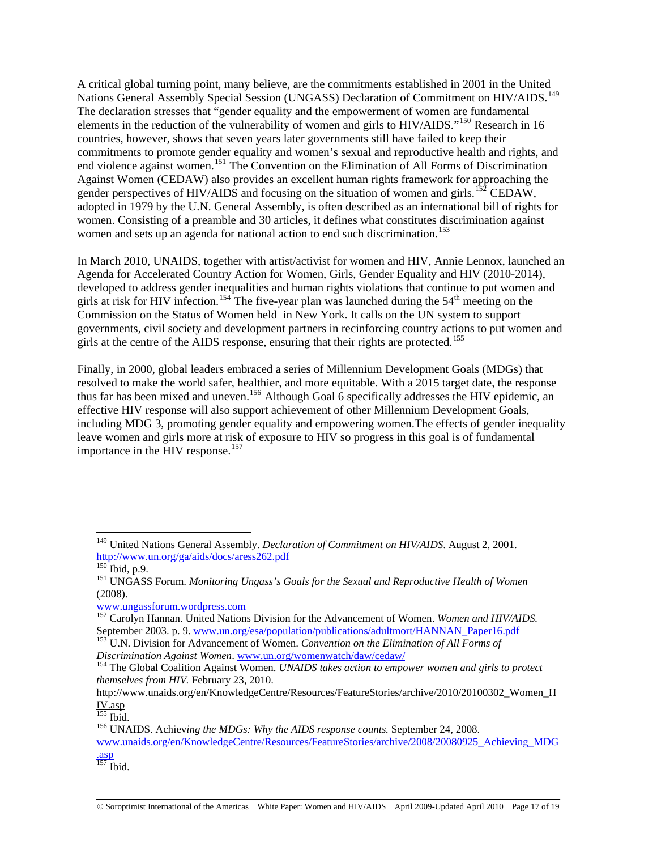A critical global turning point, many believe, are the commitments established in 2001 in the United Nations General Assembly Special Session (UNGASS) Declaration of Commitment on HIV/AIDS.<sup>[149](#page-16-0)</sup> The declaration stresses that "gender equality and the empowerment of women are fundamental elements in the reduction of the vulnerability of women and girls to HIV/AIDS."<sup>[150](#page-16-1)</sup> Research in 16 countries, however, shows that seven years later governments still have failed to keep their commitments to promote gender equality and women's sexual and reproductive health and rights, and end violence against women.<sup>[151](#page-16-2)</sup> The Convention on the Elimination of All Forms of Discrimination Against Women (CEDAW) also provides an excellent human rights framework for approaching the gender perspectives of HIV/AIDS and focusing on the situation of women and girls.<sup>[152](#page-16-3)</sup> CEDAW, adopted in 1979 by the U.N. General Assembly, is often described as an international bill of rights for women. Consisting of a preamble and 30 articles, it defines what constitutes discrimination against women and sets up an agenda for national action to end such discrimination.<sup>[153](#page-16-4)</sup>

In March 2010, UNAIDS, together with artist/activist for women and HIV, Annie Lennox, launched an Agenda for Accelerated Country Action for Women, Girls, Gender Equality and HIV (2010-2014), developed to address gender inequalities and human rights violations that continue to put women and girls at risk for HIV infection.<sup>[154](#page-16-5)</sup> The five-year plan was launched during the  $54<sup>th</sup>$  meeting on the Commission on the Status of Women held in New York. It calls on the UN system to support governments, civil society and development partners in recinforcing country actions to put women and girls at the centre of the AIDS response, ensuring that their rights are protected.<sup>[155](#page-16-6)</sup>

Finally, in 2000, global leaders embraced a series of Millennium Development Goals (MDGs) that resolved to make the world safer, healthier, and more equitable. With a 2015 target date, the response thus far has been mixed and uneven.<sup>[156](#page-16-7)</sup> Although Goal  $\vec{6}$  specifically addresses the HIV epidemic, an effective HIV response will also support achievement of other Millennium Development Goals, including MDG 3, promoting gender equality and empowering women.The effects of gender inequality leave women and girls more at risk of exposure to HIV so progress in this goal is of fundamental importance in the HIV response.<sup>[157](#page-16-8)</sup>

 $\overline{a}$ 

<span id="page-16-8"></span>[.asp](http://www.unaids.org/en/KnowledgeCentre/Resources/FeatureStories/archive/2008/20080925_Achieving_MDG.asp)  $157$  Ibid.

<span id="page-16-0"></span><sup>149</sup> United Nations General Assembly. *Declaration of Commitment on HIV/AIDS*. August 2, 2001. <http://www.un.org/ga/aids/docs/aress262.pdf><br><sup>150</sup> Ibid, p.9.

<span id="page-16-2"></span><span id="page-16-1"></span><sup>&</sup>lt;sup>151</sup> UNGASS Forum. *Monitoring Ungass's Goals for the Sexual and Reproductive Health of Women* (2008).

[www.ungassforum.wordpress.com](http://www.ungassforum.wordpress.com/)

<span id="page-16-3"></span><sup>152</sup> Carolyn Hannan. United Nations Division for the Advancement of Women. *Women and HIV/AIDS.* 

<span id="page-16-4"></span>September 2003. p. 9. [www.un.org/esa/population/publications/adultmort/HANNAN\\_Paper16.pdf](http://www.un.org/esa/population/publications/adultmort/HANNAN_Paper16.pdf) 153 U.N. Division for Advancement of Women. *Convention on the Elimination of All Forms of Discrimination Against Women.* www.un.org

<span id="page-16-5"></span><sup>&</sup>lt;sup>154</sup> The Global Coalition Against Women. *UNAIDS takes action to empower women and girls to protect themselves from HIV.* February 23, 2010.

[http://www.unaids.org/en/KnowledgeCentre/Resources/FeatureStories/archive/2010/20100302\\_Women\\_H](http://www.unaids.org/en/KnowledgeCentre/Resources/FeatureStories/archive/2010/20100302_Women_HIV.asp)  $\frac{\text{IV.asp}}{\text{155}}$  $\frac{\text{IV.asp}}{\text{155}}$  $\frac{\text{IV.asp}}{\text{155}}$  Ibid.

<span id="page-16-7"></span><span id="page-16-6"></span><sup>&</sup>lt;sup>156</sup> UNAIDS. Achieving the MDGs: Why the AIDS response counts. September 24, 2008. [www.unaids.org/en/KnowledgeCentre/Resources/FeatureStories/archive/2008/20080925\\_Achieving\\_MDG](http://www.unaids.org/en/KnowledgeCentre/Resources/FeatureStories/archive/2008/20080925_Achieving_MDG.asp)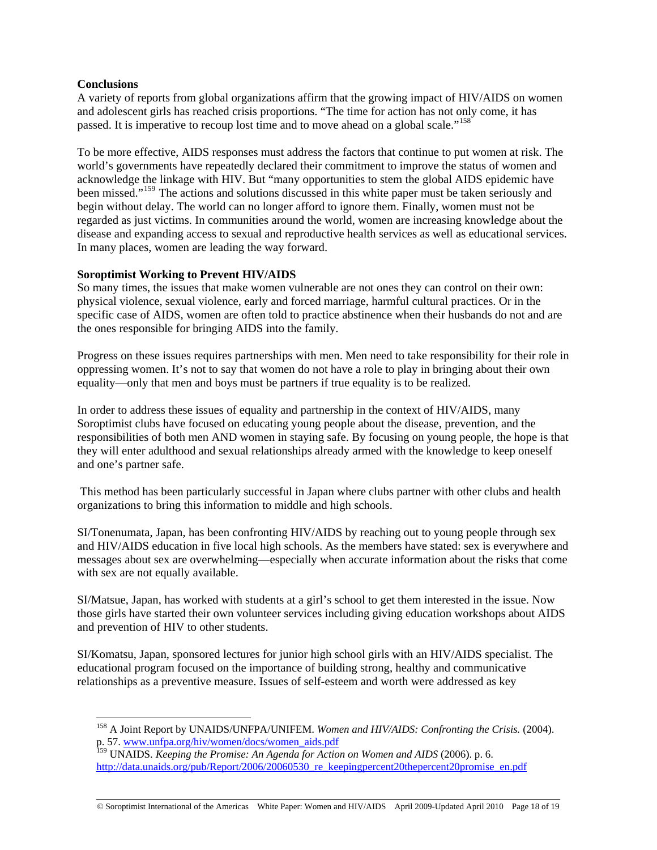## **Conclusions**

 $\overline{a}$ 

A variety of reports from global organizations affirm that the growing impact of HIV/AIDS on women and adolescent girls has reached crisis proportions. "The time for action has not only come, it has passed. It is imperative to recoup lost time and to move ahead on a global scale."<sup>[158](#page-17-0)</sup>

To be more effective, AIDS responses must address the factors that continue to put women at risk. The world's governments have repeatedly declared their commitment to improve the status of women and acknowledge the linkage with HIV. But "many opportunities to stem the global AIDS epidemic have been missed."<sup>[159](#page-17-1)</sup> The actions and solutions discussed in this white paper must be taken seriously and begin without delay. The world can no longer afford to ignore them. Finally, women must not be regarded as just victims. In communities around the world, women are increasing knowledge about the disease and expanding access to sexual and reproductive health services as well as educational services. In many places, women are leading the way forward.

### **Soroptimist Working to Prevent HIV/AIDS**

So many times, the issues that make women vulnerable are not ones they can control on their own: physical violence, sexual violence, early and forced marriage, harmful cultural practices. Or in the specific case of AIDS, women are often told to practice abstinence when their husbands do not and are the ones responsible for bringing AIDS into the family.

Progress on these issues requires partnerships with men. Men need to take responsibility for their role in oppressing women. It's not to say that women do not have a role to play in bringing about their own equality—only that men and boys must be partners if true equality is to be realized.

In order to address these issues of equality and partnership in the context of HIV/AIDS, many Soroptimist clubs have focused on educating young people about the disease, prevention, and the responsibilities of both men AND women in staying safe. By focusing on young people, the hope is that they will enter adulthood and sexual relationships already armed with the knowledge to keep oneself and one's partner safe.

 This method has been particularly successful in Japan where clubs partner with other clubs and health organizations to bring this information to middle and high schools.

SI/Tonenumata, Japan, has been confronting HIV/AIDS by reaching out to young people through sex and HIV/AIDS education in five local high schools. As the members have stated: sex is everywhere and messages about sex are overwhelming—especially when accurate information about the risks that come with sex are not equally available.

SI/Matsue, Japan, has worked with students at a girl's school to get them interested in the issue. Now those girls have started their own volunteer services including giving education workshops about AIDS and prevention of HIV to other students.

SI/Komatsu, Japan, sponsored lectures for junior high school girls with an HIV/AIDS specialist. The educational program focused on the importance of building strong, healthy and communicative relationships as a preventive measure. Issues of self-esteem and worth were addressed as key

<span id="page-17-0"></span><sup>158</sup> A Joint Report by UNAIDS/UNFPA/UNIFEM. *Women and HIV/AIDS: Confronting the Crisis.* (2004). p. 57. [www.unfpa.org/hiv/women/docs/women\\_aids.pdf](http://www.unfpa.org/hiv/women/docs/women_aids.pdf)

<span id="page-17-1"></span><sup>159</sup> UNAIDS. *Keeping the Promise: An Agenda for Action on Women and AIDS* (2006). p. 6. [http://data.unaids.org/pub/Report/2006/20060530\\_re\\_keepingpercent20thepercent20promise\\_en.pdf](http://data.unaids.org/pub/Report/2006/20060530_re_keeping%20the%20promise_en.pdf)